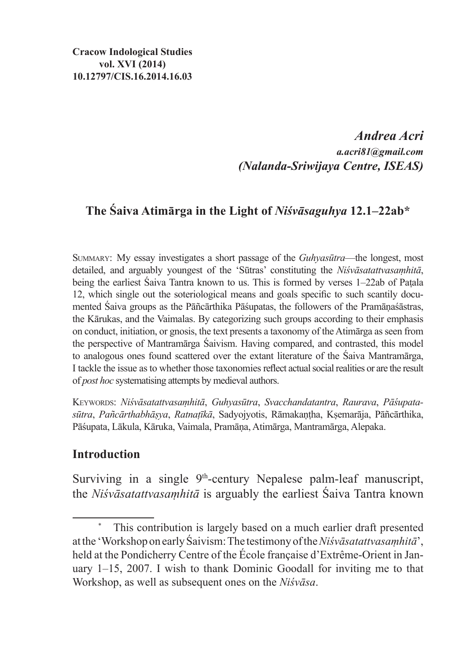### *Andrea Acri a.acri81@gmail.com (Nalanda-Sriwijaya Centre, ISEAS)*

# **The Śaiva Atimārga in the Light of** *Niśvāsaguhya* **12.1–22ab\***

Summary: My essay investigates a short passage of the *Guhyasūtra*—the longest, most detailed, and arguably youngest of the 'Sūtras' constituting the *Niśvāsatattvasaṃhitā*, being the earliest Śaiva Tantra known to us. This is formed by verses 1–22ab of Paṭala 12, which single out the soteriological means and goals specific to such scantily documented Śaiva groups as the Pāñcārthika Pāśupatas, the followers of the Pramāṇaśāstras, the Kārukas, and the Vaimalas. By categorizing such groups according to their emphasis on conduct, initiation, or gnosis, the text presents a taxonomy of theAtimārga asseen from the perspective of Mantramārga Śaivism. Having compared, and contrasted, this model to analogous ones found scattered over the extant literature of the Śaiva Mantramārga, I tackle the issue as to whether those taxonomies reflect actual social realities or are the result of *post hoc* systematising attempts by medieval authors.

Keywords: *Niśvāsatattvasaṃhitā*, *Guhyasūtra*, *Svacchandatantra*, *Raurava*, *Pāśupatasūtra*, *Pañcārthabhāṣya*, *Ratnaṭīkā*, Sadyojyotis, Rāmakaṇṭha, Kṣemarāja, Pāñcārthika, Pāśupata, Lākula, Kāruka, Vaimala, Pramāṇa, Atimārga, Mantramārga, Alepaka.

### **Introduction**

Surviving in a single  $9<sup>th</sup>$ -century Nepalese palm-leaf manuscript, the *Niśvāsatattvasaṃhitā* is arguably the earliest Śaiva Tantra known

This contribution is largely based on a much earlier draft presented atthe 'Workshop on early Śaivism:The testimony of the*Niśvāsatattvasaṃhitā*', held at the Pondicherry Centre of the École française d'Extrême-Orient in January 1–15, 2007. I wish to thank Dominic Goodall for inviting me to that Workshop, as well as subsequent ones on the *Niśvāsa*.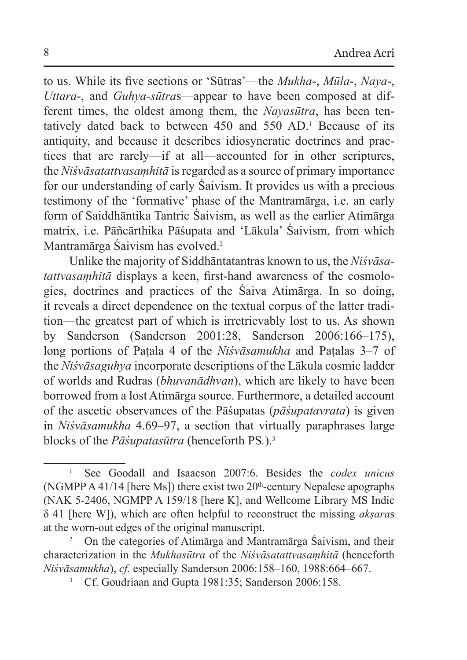to us. While its five sections or 'Sūtras'—the *Mukha*-, *Mūla*-, *Naya*-, *Uttara*-, and *Guhya-sūtra*s—appear to have been composed at different times, the oldest among them, the *Nayasūtra*, has been tentatively dated back to between 450 and 550 AD.1 Because of its antiquity, and because it describes idiosyncratic doctrines and practices that are rarely—if at all—accounted for in other scriptures, the *Niśvāsatattvasaṃhitā* isregarded as a source of primary importance for our understanding of early Śaivism. It provides us with a precious testimony of the 'formative' phase of the Mantramārga, i.e. an early form of Saiddhāntika Tantric Śaivism, as well as the earlier Atimārga matrix, i.e. Pāñcārthika Pāśupata and 'Lākula' Śaivism, from which Mantramārga Śaivism has evolved.2

Unlike the majority of Siddhāntatantras known to us, the *Niśvāsatattvasaṃhitā* displays a keen, first-hand awareness of the cosmologies, doctrines and practices of the Śaiva Atimārga. In so doing, it reveals a direct dependence on the textual corpus of the latter tradition—the greatest part of which is irretrievably lost to us. As shown by Sanderson (Sanderson 2001:28, Sanderson 2006:166–175), long portions of Paṭala 4 of the *Niśvāsamukha* and Paṭalas 3–7 of the *Niśvāsaguhya* incorporate descriptions of the Lākula cosmic ladder of worlds and Rudras (*bhuvanādhvan*), which are likely to have been borrowed from a lost Atimārga source. Furthermore, a detailed account of the ascetic observances of the Pāśupatas (*pāśupatavrata*) is given in *Niśvāsamukha* 4.69–97, a section that virtually paraphrases large blocks of the *Pāśupatasūtra* (henceforth PS*.*). 3

<sup>1</sup> See Goodall and Isaacson 2007:6. Besides the *codex unicus* (NGMPP A 41/14 [here Ms]) there exist two  $20<sup>th</sup>$ -century Nepalese apographs (NAK 5-2406, NGMPP A 159/18 [here K], and Wellcome Library MS Indic δ 41 [here W]), which are often helpful to reconstruct the missing *akṣara*s at the worn-out edges of the original manuscript.

<sup>2</sup> On the categories of Atimārga and Mantramārga Śaivism, and their characterization in the *Mukhasūtra* of the *Niśvāsatattvasaṃhitā* (henceforth *Niśvāsamukha*), *cf.* especially Sanderson 2006:158–160, 1988:664–667.

Cf. Goudriaan and Gupta 1981:35; Sanderson 2006:158.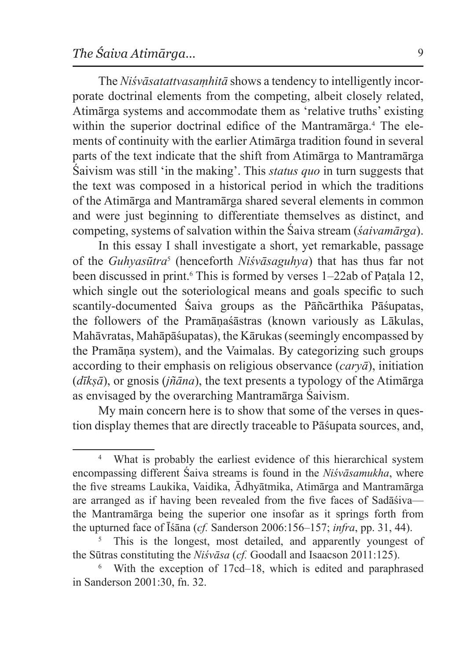The *Niśvāsatattvasaṃhitā* shows a tendency to intelligently incorporate doctrinal elements from the competing, albeit closely related, Atimārga systems and accommodate them as 'relative truths' existing within the superior doctrinal edifice of the Mantramārga.4 The elements of continuity with the earlier Atimārga tradition found in several parts of the text indicate that the shift from Atimārga to Mantramārga Śaivism was still 'in the making'. This *status quo* in turn suggests that the text was composed in a historical period in which the traditions of the Atimārga and Mantramārga shared several elements in common and were just beginning to differentiate themselves as distinct, and competing, systems of salvation within the Śaiva stream (*śaivamārga*).

In this essay I shall investigate a short, yet remarkable, passage of the *Guhyasūtra*<sup>5</sup> (henceforth *Niśvāsaguhya*) that has thus far not been discussed in print.6 This is formed by verses 1–22ab of Paṭala 12, which single out the soteriological means and goals specific to such scantily-documented Śaiva groups as the Pāñcārthika Pāśupatas, the followers of the Pramāṇaśāstras (known variously as Lākulas, Mahāvratas, Mahāpāśupatas), the Kārukas (seemingly encompassed by the Pramāṇa system), and the Vaimalas. By categorizing such groups according to their emphasis on religious observance (*caryā*), initiation (*dīkṣā*), or gnosis (*jñāna*), the text presents a typology of the Atimārga as envisaged by the overarching Mantramārga Śaivism.

My main concern here is to show that some of the verses in question display themes that are directly traceable to Pāśupata sources, and,

What is probably the earliest evidence of this hierarchical system encompassing different Śaiva streams is found in the *Niśvāsamukha*, where the five streams Laukika, Vaidika, Ādhyātmika, Atimārga and Mantramārga are arranged as if having been revealed from the five faces of Sadāśiva the Mantramārga being the superior one insofar as it springs forth from the upturned face of Īśāna (*cf.* Sanderson 2006:156–157; *infra*, pp. 31, 44).

This is the longest, most detailed, and apparently youngest of the Sūtras constituting the *Niśvāsa* (*cf.* Goodall and Isaacson 2011:125).

With the exception of 17cd–18, which is edited and paraphrased in Sanderson 2001:30, fn. 32.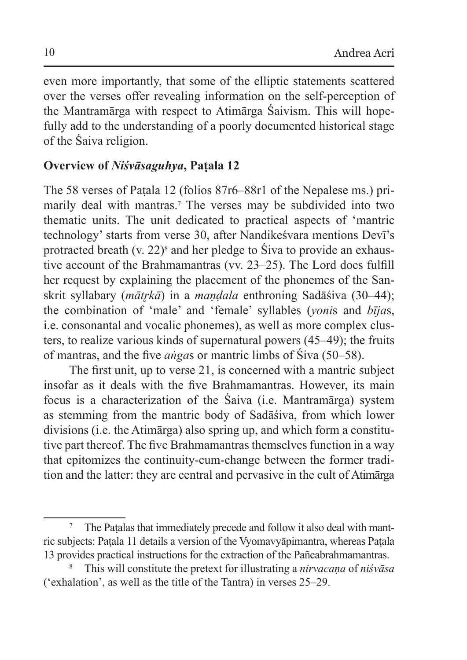even more importantly, that some of the elliptic statements scattered over the verses offer revealing information on the self-perception of the Mantramārga with respect to Atimārga Śaivism. This will hopefully add to the understanding of a poorly documented historical stage of the Śaiva religion.

# **Overview of** *Niśvāsaguhya***, Paṭala 12**

The 58 verses of Paṭala 12 (folios 87r6–88r1 of the Nepalese ms.) primarily deal with mantras.<sup>7</sup> The verses may be subdivided into two thematic units. The unit dedicated to practical aspects of 'mantric technology' starts from verse 30, after Nandikeśvara mentions Devī's protracted breath (v. 22)<sup>8</sup> and her pledge to Siva to provide an exhaustive account of the Brahmamantras (vv. 23–25). The Lord does fulfill her request by explaining the placement of the phonemes of the Sanskrit syllabary (*mātrkā*) in a *mandala* enthroning Sadāśiva (30–44); the combination of 'male' and 'female' syllables (*yoni*s and *bīja*s, i.e. consonantal and vocalic phonemes), as well as more complex clusters, to realize various kinds of supernatural powers (45–49); the fruits of mantras, and the five *aṅga*s or mantric limbs of Śiva (50–58).

The first unit, up to verse 21, is concerned with a mantric subject insofar as it deals with the five Brahmamantras. However, its main focus is a characterization of the Śaiva (i.e. Mantramārga) system as stemming from the mantric body of Sadāśiva, from which lower divisions (i.e. the Atimārga) also spring up, and which form a constitutive part thereof. The five Brahmamantras themselves function in a way that epitomizes the continuity-cum-change between the former tradition and the latter: they are central and pervasive in the cult of Atimārga

<sup>7</sup> The Paṭalas that immediately precede and follow it also deal with mantric subjects: Paṭala 11 details a version of the Vyomavyāpimantra, whereas Paṭala 13 provides practical instructions for the extraction of the Pañcabrahmamantras.

<sup>8</sup> This will constitute the pretext for illustrating a *nirvacaṇa* of *niśvāsa* ('exhalation', as well as the title of the Tantra) in verses 25–29.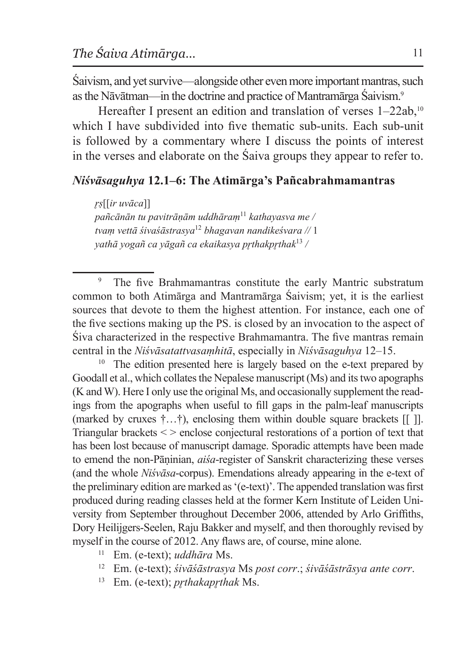Śaivism, and yet survive—alongside other even more important mantras, such asthe Nāvātman—in the doctrine and practice of Mantramārga Śaivism.9

Hereafter I present an edition and translation of verses  $1-22ab$ ,<sup>10</sup> which I have subdivided into five thematic sub-units. Each sub-unit is followed by a commentary where I discuss the points of interest in the verses and elaborate on the Śaiva groups they appear to refer to.

### *Niśvāsaguhya* **12.1–6: The Atimārga's Pañcabrahmamantras**

*r̥ṣ*[[*ir uvāca*]] *pañcānān tu pavitrāṇām uddhāraṃ*<sup>11</sup> *kathayasva me / tvaṃ vettā śivaśāstrasya*<sup>12</sup> *bhagavan nandikeśvara //* 1 *yathā yogañ ca yāgañ ca ekaikasya pr̥thakpr̥thak*<sup>13</sup> */*

The five Brahmamantras constitute the early Mantric substratum common to both Atimārga and Mantramārga Śaivism; yet, it is the earliest sources that devote to them the highest attention. For instance, each one of the five sections making up the PS. is closed by an invocation to the aspect of Śiva characterized in the respective Brahmamantra. The five mantras remain central in the *Niśvāsatattvasaṃhitā*, especially in *Niśvāsaguhya* 12–15.

<sup>10</sup> The edition presented here is largely based on the e-text prepared by Goodall et al., which collates the Nepalese manuscript (Ms) and its two apographs (K and W). Here I only use the original Ms, and occasionally supplement the readings from the apographs when useful to fill gaps in the palm-leaf manuscripts (marked by cruxes  $\dagger$ ... $\dagger$ ), enclosing them within double square brackets [[ ]]. Triangular brackets < > enclose conjectural restorations of a portion of text that has been lost because of manuscript damage. Sporadic attempts have been made to emend the non-Pāṇinian, *aiśa*-register of Sanskrit characterizing these verses (and the whole *Niśvāsa*-corpus). Emendations already appearing in the e-text of the preliminary edition are marked as'(e-text)'. The appended translation was first produced during reading classes held at the former Kern Institute of Leiden University from September throughout December 2006, attended by Arlo Griffiths, Dory Heilijgers-Seelen, Raju Bakker and myself, and then thoroughly revised by myself in the course of 2012. Any flaws are, of course, mine alone.

- <sup>11</sup> Em. (e-text); *uddhāra* Ms.
- <sup>12</sup> Em. (e-text); *śivāśāstrasya* Ms *post corr*.; *śivāśāstrāsya ante corr*.
- <sup>13</sup> Em. (e-text); *prthakaprthak* Ms.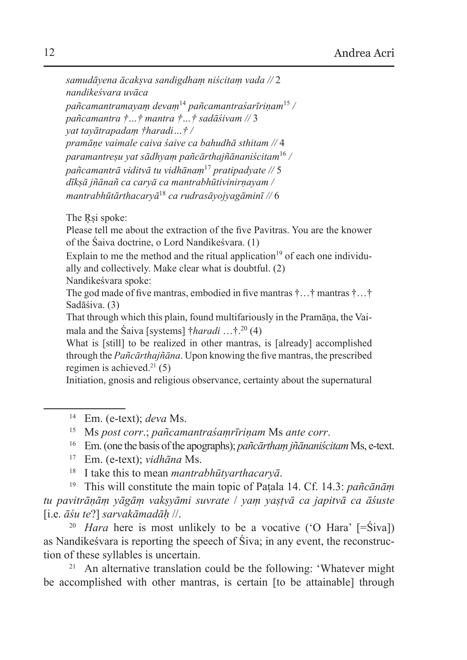```
samudāyena ācakṣva sandigdhaṃ niścitaṃ vada // 2
nandikeśvara uvāca
pañcamantramayaṃ devaṃ14 pañcamantraśarīriṇam15 /
pañcamantra †…† mantra †…† sadāśivam // 3
yat tayātrapadaṃ †haradi…† /
pramāṇe vaimale caiva śaive ca bahudhā sthitam // 4
paramantreṣu yat sādhyaṃ pañcārthajñānaniścitam16 /
pañcamantrā viditvā tu vidhānaṃ17 pratipadyate // 5
dīkṣā jñānañ ca caryā ca mantrabhūtivinirṇayam /
mantrabhūtārthacaryā18 ca rudrasāyojyagāminī // 6
```
The Rsi spoke:

Please tell me about the extraction of the five Pavitras. You are the knower of the Śaiva doctrine, o Lord Nandikeśvara. (1)

Explain to me the method and the ritual application<sup>19</sup> of each one individually and collectively. Make clear what is doubtful. (2)

Nandikeśvara spoke:

The god made of five mantras, embodied in five mantras †…† mantras †…† Sadāśiva. (3)

That through which this plain, found multifariously in the Pramāṇa, the Vaimala and the Śaiva [systems] †*haradi* …†.20 (4)

What is [still] to be realized in other mantras, is [already] accomplished through the *Pañcārthajñāna*. Upon knowing the five mantras, the prescribed regimen is achieved.<sup>21</sup> (5)

Initiation, gnosis and religious observance, certainty about the supernatural

- <sup>16</sup> Em.(one the basis of the apographs); *pañcārthaṃ jñānaniścitam* Ms, e-text.
- <sup>17</sup> Em. (e-text); *vidhāna* Ms.
- <sup>18</sup> I take this to mean *mantrabhūtyarthacaryā*.

<sup>19</sup> This will constitute the main topic of Paṭala 14. Cf. 14.3: *pañcānāṃ tu pavitrāṇāṃ yāgāṃ vakṣyāmi suvrate* / *yaṃ yaṣṭvā ca japitvā ca āśuste* [i.e. *āśu te*?] *sarvakāmadāḥ* //.

<sup>20</sup> *Hara* here is most unlikely to be a vocative ('O Hara' [=Śiva]) as Nandikeśvara is reporting the speech of Śiva; in any event, the reconstruction of these syllables is uncertain.

<sup>21</sup> An alternative translation could be the following: 'Whatever might be accomplished with other mantras, is certain [to be attainable] through

<sup>14</sup> Em. (e-text); *deva* Ms.

<sup>15</sup> Ms *post corr*.; *pañcamantraśaṃrīriṇam* Ms *ante corr*.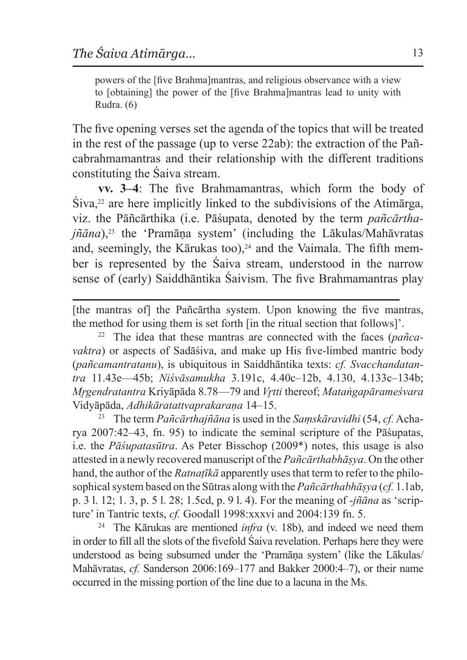powers of the [five Brahma]mantras, and religious observance with a view to [obtaining] the power of the [five Brahma]mantras lead to unity with Rudra. (6)

The five opening verses set the agenda of the topics that will be treated in the rest of the passage (up to verse 22ab): the extraction of the Pañcabrahmamantras and their relationship with the different traditions constituting the Śaiva stream.

**vv. 3–4**: The five Brahmamantras, which form the body of  $\text{Siva},^{22}$  are here implicitly linked to the subdivisions of the Atimatrga, viz. the Pāñcārthika (i.e. Pāśupata, denoted by the term *pañcārtha* $j\tilde{n}$ *āna*),<sup>23</sup> the 'Pramāna system' (including the Lākulas/Mahāvratas and, seemingly, the Kārukas too), $24$  and the Vaimala. The fifth member is represented by the Śaiva stream, understood in the narrow sense of (early) Saiddhāntika Śaivism. The five Brahmamantras play

[the mantras of] the Pañcārtha system. Upon knowing the five mantras, the method for using them is set forth [in the ritual section that follows]'.

<sup>22</sup> The idea that these mantras are connected with the faces (*pañcavaktra*) or aspects of Sadāśiva, and make up His five-limbed mantric body (*pañcamantratanu*), is ubiquitous in Saiddhāntika texts: *cf. Svacchandatantra* 11.43e—45b; *Niśvāsamukha* 3.191c, 4.40c–12b, 4.130, 4.133c–134b; *Mr̥gendratantra* Kriyāpāda 8.78—79 and *Vr̥tti* thereof; *Mataṅgapārameśvara* Vidyāpāda, *Adhikāratattvaprakaraṇa* 14–15.

<sup>23</sup> The term *Pañcārthajñāna* is used in the *Saṃskāravidhi* (54, *cf.* Acharya 2007:42–43, fn. 95) to indicate the seminal scripture of the Pāśupatas, i.e. the *Pāśupatasūtra*. As Peter Bisschop (2009\*) notes, this usage is also attested in a newly recovered manuscript of the *Pañcārthabhāṣya*. On the other hand, the author of the *Ratnaṭīkā* apparently uses that term to refer to the philosophical system based on the Sūtras along with the *Pañcārthabhāṣya* (*cf.* 1.1ab, p. 3 l. 12; 1. 3, p. 5 l. 28; 1.5cd, p. 9 l. 4). For the meaning of -*jñāna* as 'scripture' in Tantric texts, *cf.* Goodall 1998:xxxvi and 2004:139 fn. 5.

<sup>24</sup> The Kārukas are mentioned *infra* (v. 18b), and indeed we need them in order to fill all the slots of the fivefold Śaiva revelation. Perhaps here they were understood as being subsumed under the 'Pramāṇa system' (like the Lākulas/ Mahāvratas, *cf.* Sanderson 2006:169–177 and Bakker 2000:4–7), or their name occurred in the missing portion of the line due to a lacuna in the Ms.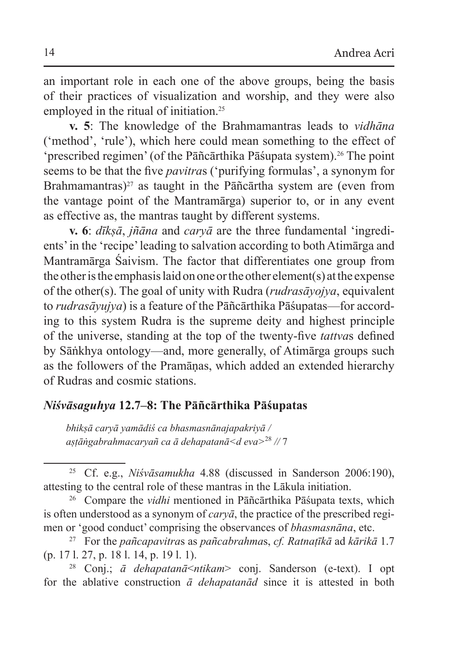an important role in each one of the above groups, being the basis of their practices of visualization and worship, and they were also employed in the ritual of initiation.<sup>25</sup>

**v. 5**: The knowledge of the Brahmamantras leads to *vidhāna* ('method', 'rule'), which here could mean something to the effect of 'prescribed regimen' (of the Pāñcārthika Pāśupata system).26 The point seems to be that the five *pavitra*s ('purifying formulas', a synonym for Brahmamantras)<sup>27</sup> as taught in the Pāñcārtha system are (even from the vantage point of the Mantramārga) superior to, or in any event as effective as, the mantras taught by different systems.

**v. 6**: *dīkṣā*, *jñāna* and *caryā* are the three fundamental 'ingredients' in the 'recipe' leading to salvation according to both Atimārga and Mantramārga Śaivism. The factor that differentiates one group from the other isthe emphasis laid on one or the other element(s) atthe expense of the other(s). The goal of unity with Rudra (*rudrasāyojya*, equivalent to *rudrasāyujya*) is a feature of the Pāñcārthika Pāśupatas—for according to this system Rudra is the supreme deity and highest principle of the universe, standing at the top of the twenty-five *tattva*s defined by Sāṅkhya ontology—and, more generally, of Atimārga groups such as the followers of the Pramāṇas, which added an extended hierarchy of Rudras and cosmic stations.

#### *Niśvāsaguhya* **12.7–8: The Pāñcārthika Pāśupatas**

*bhikṣā caryā yamādiś ca bhasmasnānajapakriyā / aṣṭāṅgabrahmacaryañ ca ā dehapatanā<d eva>*<sup>28</sup> *//* 7

<sup>26</sup> Compare the *vidhi* mentioned in Pāñcārthika Pāśupata texts, which is often understood as a synonym of *caryā*, the practice of the prescribed regimen or 'good conduct' comprising the observances of *bhasmasnāna*, etc.

<sup>27</sup> For the *pañcapavitra*s as *pañcabrahma*s, *cf. Ratnaṭīkā* ad *kārikā* 1.7 (p. 17 l. 27, p. 18 l. 14, p. 19 l. 1).

<sup>28</sup> Conj.; *ā dehapatanā*<*ntikam*> conj. Sanderson (e-text). I opt for the ablative construction *ā dehapatanād* since it is attested in both

<sup>25</sup> Cf. e.g., *Niśvāsamukha* 4.88 (discussed in Sanderson 2006:190), attesting to the central role of these mantras in the Lākula initiation.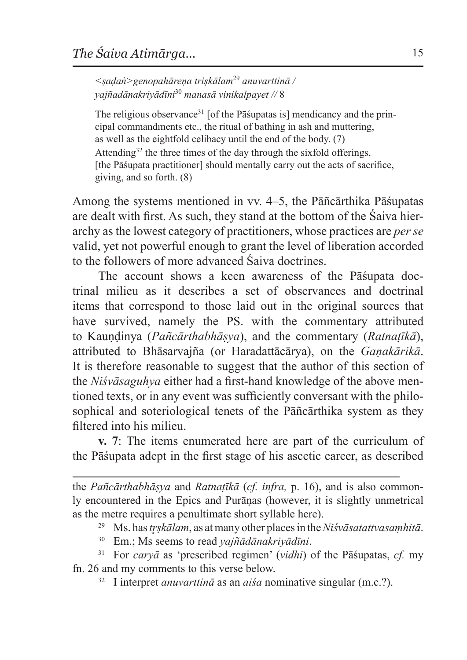*<ṣaḍaṅ>genopahāreṇa triṣkālam*<sup>29</sup> *anuvarttinā / yajñadānakriyādīni*<sup>30</sup> *manasā vinikalpayet //* 8

The religious observance<sup>31</sup> [of the Pā supatas is] mendicancy and the principal commandments etc., the ritual of bathing in ash and muttering, as well as the eightfold celibacy until the end of the body. (7) Attending<sup>32</sup> the three times of the day through the sixfold offerings, [the Pāśupata practitioner] should mentally carry out the acts of sacrifice, giving, and so forth. (8)

Among the systems mentioned in vv. 4–5, the Pāñcārthika Pāśupatas are dealt with first. As such, they stand at the bottom of the Śaiva hierarchy as the lowest category of practitioners, whose practices are *per se* valid, yet not powerful enough to grant the level of liberation accorded to the followers of more advanced Śaiva doctrines.

The account shows a keen awareness of the Pāśupata doctrinal milieu as it describes a set of observances and doctrinal items that correspond to those laid out in the original sources that have survived, namely the PS. with the commentary attributed to Kauṇḍinya (*Pañcārthabhāṣya*), and the commentary (*Ratnaṭīkā*), attributed to Bhāsarvajña (or Haradattācārya), on the *Gaṇakārikā*. It is therefore reasonable to suggest that the author of this section of the *Niśvāsaguhya* either had a first-hand knowledge of the above mentioned texts, or in any event was sufficiently conversant with the philosophical and soteriological tenets of the Pāñcārthika system as they filtered into his milieu.

**v. 7**: The items enumerated here are part of the curriculum of the Pāśupata adept in the first stage of his ascetic career, as described

the *Pañcārthabhāṣya* and *Ratnaṭīkā* (*cf. infra,* p. 16), and is also commonly encountered in the Epics and Purāṇas (however, it is slightly unmetrical as the metre requires a penultimate short syllable here).

<sup>29</sup> Ms. has *tr̥ṣkālam*, as atmany other places in the*Niśvāsatattvasaṃhitā*.

<sup>30</sup> Em.; Ms seems to read *yajñādānakriyādīni*.

<sup>31</sup> For *caryā* as 'prescribed regimen' (*vidhi*) of the Pāśupatas, *cf.* my fn. 26 and my comments to this verse below.

<sup>32</sup> I interpret *anuvarttinā* as an *aiśa* nominative singular (m.c.?).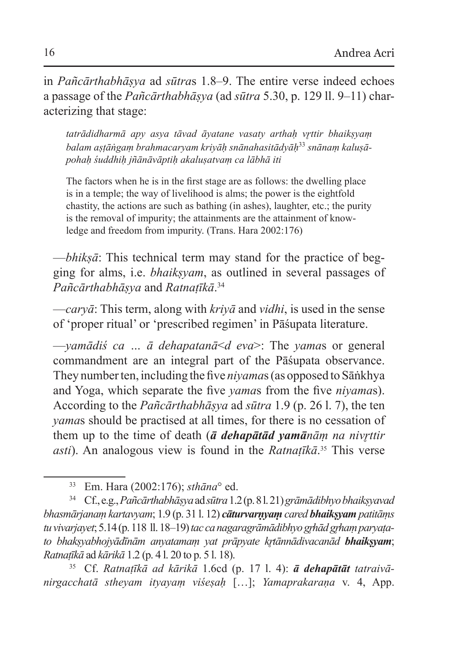in *Pañcārthabhāṣya* ad *sūtra*s 1.8–9. The entire verse indeed echoes a passage of the *Pañcārthabhāṣya* (ad *sūtra* 5.30, p. 129 ll. 9–11) characterizing that stage:

*tatrādidharmā apy asya tāvad āyatane vasaty arthaḥ vr̥ttir bhaikṣyaṃ balam aṣṭāṅgaṃ brahmacaryam kriyāḥ snānahasitādyāḥ*33 *snānaṃ kaluṣāpohaḥ śuddhiḥ jñānāvāptiḥ akaluṣatvaṃ ca lābhā iti*

The factors when he is in the first stage are as follows: the dwelling place is in a temple; the way of livelihood is alms; the power is the eightfold chastity, the actions are such as bathing (in ashes), laughter, etc.; the purity is the removal of impurity; the attainments are the attainment of knowledge and freedom from impurity. (Trans. Hara 2002:176)

—*bhikṣā*: This technical term may stand for the practice of begging for alms, i.e. *bhaikṣyam*, as outlined in several passages of *Pañcārthabhāṣya* and *Ratnaṭīkā*. 34

—*caryā*: This term, along with *kriyā* and *vidhi*, is used in the sense of 'proper ritual' or 'prescribed regimen' in Pāśupata literature.

—*yamādiś ca … ā dehapatanā*<*d eva*>: The *yama*s or general commandment are an integral part of the Pāśupata observance. They number ten, including the five *niyama*s (as opposed to Sāṅkhya and Yoga, which separate the five *yama*s from the five *niyama*s). According to the *Pañcārthabhāṣya* ad *sūtra* 1.9 (p. 26 l. 7), the ten *yama*s should be practised at all times, for there is no cessation of them up to the time of death (*ā dehapātād yamānāṃ na nivr̥ttir asti*). An analogous view is found in the *Ratnaṭīkā*. 35 This verse

<sup>35</sup> Cf. *Ratnaṭīkā ad kārikā* 1.6cd (p. 17 l. 4): *ā dehapātāt tatraivānirgacchatā stheyam ityayaṃ viśeṣaḥ* […]; *Yamaprakaraṇa* v. 4, App.

<sup>33</sup> Em. Hara (2002:176); *sthāna*° ed.

<sup>34</sup> Cf.,e.g., *Pañcārthabhāṣya*ad *sūtra* 1.2 (p.8 l.21) *grāmādibhyo bhaikṣyavad bhasmārjanaṃ kartavyam*; 1.9 (p. 31 l. 12) *cāturvarṇyaṃ cared bhaikṣyam patitāṃs tu vivarjayet*; 5.14 (p.118 ll.18–19) *tac ca nagaragrāmādibhyo gr̥hād gr̥haṃ paryaṭato bhakṣyabhojyādīnām anyatamaṃ yat prāpyate kr̥tānnādivacanād bhaikṣyam*; *Ratnaṭīkā* ad *kārikā* 1.2 (p. 4 l. 20 to p. 5 l. 18).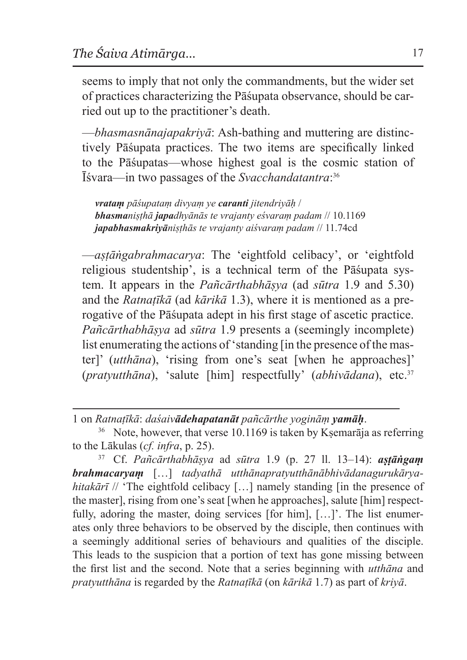seems to imply that not only the commandments, but the wider set of practices characterizing the Pāśupata observance, should be carried out up to the practitioner's death.

—*bhasmasnānajapakriyā*: Ash-bathing and muttering are distinctively Pāśupata practices. The two items are specifically linked to the Pāśupatas—whose highest goal is the cosmic station of Īśvara—in two passages of the *Svacchandatantra*: 36

*vrataṃ pāśupataṃ divyaṃ ye caranti jitendriyāḥ* / *bhasmaniṣṭhā japadhyānās te vrajanty eśvaraṃ padam* // 10.1169 *japabhasmakriyāniṣṭhās te vrajanty aiśvaraṃ padam* // 11.74cd

—*aṣṭāṅgabrahmacarya*: The 'eightfold celibacy', or 'eightfold religious studentship', is a technical term of the Pāśupata system. It appears in the *Pañcārthabhāṣya* (ad *sūtra* 1.9 and 5.30) and the *Ratnaṭīkā* (ad *kārikā* 1.3), where it is mentioned as a prerogative of the Pāśupata adept in his first stage of ascetic practice. *Pañcārthabhāṣya* ad *sūtra* 1.9 presents a (seemingly incomplete) list enumerating the actions of 'standing [in the presence of the master]' (*utthāna*), 'rising from one's seat [when he approaches]' (*pratyutthāna*), 'salute [him] respectfully' (*abhivādana*), etc.37

1 on *Ratnaṭīkā*: *daśaivādehapatanāt pañcārthe yogināṃ yamāḥ*.

<sup>37</sup> Cf. *Pañcārthabhāṣya* ad *sūtra* 1.9 (p. 27 ll. 13–14): *aṣṭāṅgaṃ brahmacaryaṃ* […] *tadyathā utthānapratyutthānābhivādanagurukāryahitakārī* // 'The eightfold celibacy [...] namely standing [in the presence of the master], rising from one's seat [when he approaches], salute [him] respectfully, adoring the master, doing services [for him], […]'. The list enumerates only three behaviors to be observed by the disciple, then continues with a seemingly additional series of behaviours and qualities of the disciple. This leads to the suspicion that a portion of text has gone missing between the first list and the second. Note that a series beginning with *utthāna* and *pratyutthāna* is regarded by the *Ratnaṭīkā* (on *kārikā* 1.7) as part of *kriyā*.

 $36$  Note, however, that verse 10.1169 is taken by Ksemarāja as referring to the Lākulas (*cf. infra*, p. 25).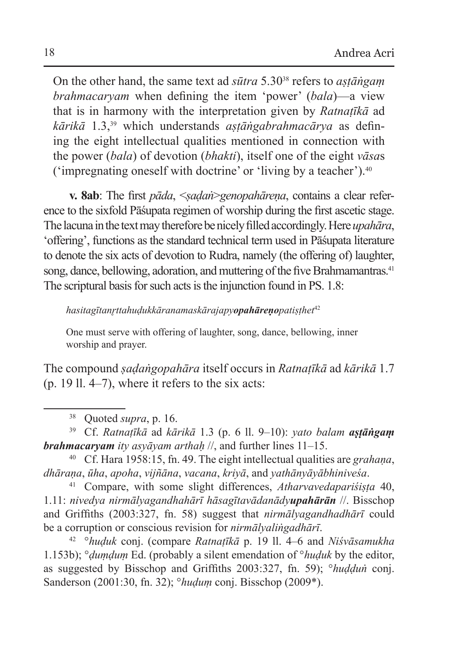On the other hand, the same text ad *sūtra* 5.3038 refers to *aṣṭāṅgaṃ brahmacaryam* when defining the item 'power' (*bala*)—a view that is in harmony with the interpretation given by *Ratnaṭīkā* ad *kārikā* 1.3,39 which understands *aṣṭāṅgabrahmacārya* as defining the eight intellectual qualities mentioned in connection with the power (*bala*) of devotion (*bhakti*), itself one of the eight *vāsa*s ('impregnating oneself with doctrine' or 'living by a teacher').40

**v. 8ab**: The first *pāda*, <*ṣaḍaṅ*>*genopahāreṇa*, contains a clear reference to the sixfold Pāśupata regimen of worship during the first ascetic stage. Thelacuna inthetext may therefore benicely filled accordingly. Here*upahāra*, 'offering', functions asthe standard technical term used in Pāśupata literature to denote the six acts of devotion to Rudra, namely (the offering of) laughter, song, dance, bellowing, adoration, and muttering of the five Brahmamantras.<sup>41</sup> The scriptural basis for such acts is the injunction found in PS. 1.8:

*hasitagītanr̥ttahuḍukkāranamaskārajapyopahāreṇopatiṣṭhet*<sup>42</sup>

One must serve with offering of laughter, song, dance, bellowing, inner worship and prayer.

The compound *ṣaḍaṅgopahāra* itself occurs in *Ratnaṭīkā* ad *kārikā* 1.7 (p. 19 ll. 4–7), where it refers to the six acts:

<sup>38</sup> Quoted *supra*, p. 16.

<sup>39</sup> Cf. *Ratnaṭīkā* ad *kārikā* 1.3 (p. 6 ll. 9–10): *yato balam aṣṭāṅgaṃ brahmacaryam ity asyāyam arthaḥ* //, and further lines 11–15.

<sup>40</sup> Cf. Hara 1958:15, fn. 49. The eight intellectual qualities are *grahaṇa*, *dhāraṇa*, *ūha*, *apoha*, *vijñāna*, *vacana*, *kriyā*, and *yathānyāyābhiniveśa*.

<sup>41</sup> Compare, with some slight differences, *Atharvavedapariśiṣṭa* 40, 1.11: *nivedya nirmālyagandhahārī hāsagītavādanādyupahārān* //. Bisschop and Griffiths (2003:327, fn. 58) suggest that *nirmālyagandhadhārī* could be a corruption or conscious revision for *nirmālyaliṅgadhārī*.

<sup>42</sup> °*huḍuk* conj. (compare *Ratnaṭīkā* p. 19 ll. 4–6 and *Niśvāsamukha*  1.153b); °*ḍuṃḍuṃ* Ed. (probably a silent emendation of °*huḍuk* by the editor, as suggested by Bisschop and Griffiths 2003:327, fn. 59); °*huḍḍuṅ* conj. Sanderson (2001:30, fn. 32); °*huḍuṃ* conj. Bisschop (2009\*).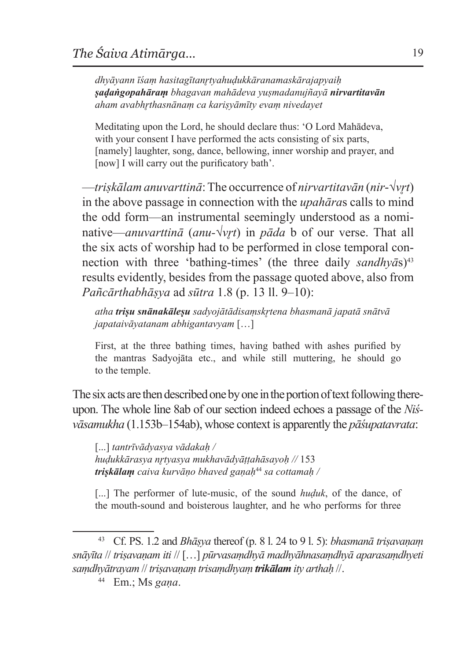*dhyāyann īśaṃ hasitagītanr̥tyahuḍukkāranamaskārajapyaiḥ ṣaḍaṅgopahāraṃ bhagavan mahādeva yuṣmadanujñayā nirvartitavān aham avabhr̥thasnānaṃ ca kariṣyāmīty evaṃ nivedayet*

Meditating upon the Lord, he should declare thus: 'O Lord Mahādeva, with your consent I have performed the acts consisting of six parts, [namely] laughter, song, dance, bellowing, inner worship and prayer, and [now] I will carry out the purificatory bath'.

—*triṣkālam anuvarttinā*:The occurrence of *nirvartitavān* (*nir*-√*vr̥t*) in the above passage in connection with the *upahāra*s calls to mind the odd form—an instrumental seemingly understood as a nominative—*anuvarttinā* (*anu-*√*vr̥t*) in *pāda* b of our verse. That all the six acts of worship had to be performed in close temporal connection with three 'bathing-times' (the three daily *sandhyas*)<sup>43</sup> results evidently, besides from the passage quoted above, also from *Pañcārthabhāṣya* ad *sūtra* 1.8 (p. 13 ll. 9–10):

*atha triṣu snānakāleṣu sadyojātādisaṃskr̥tena bhasmanā japatā snātvā japataivāyatanam abhigantavyam* […]

First, at the three bathing times, having bathed with ashes purified by the mantras Sadyojāta etc., and while still muttering, he should go to the temple.

The six acts are then described one by one in the portion of text following thereupon. The whole line 8ab of our section indeed echoes a passage of the *Niśvāsamukha* (1.153b–154ab), whose context is apparently the *pāśupatavrata*:

[...] *tantrīvādyasya vādakaḥ / huḍukkārasya nr̥tyasya mukhavādyāṭṭahāsayoḥ //* 153 *triṣkālaṃ caiva kurvāṇo bhaved gaṇaḥ*<sup>44</sup> *sa cottamaḥ /*

[...] The performer of lute-music, of the sound *huduk*, of the dance, of the mouth-sound and boisterous laughter, and he who performs for three

<sup>43</sup> Cf. PS. 1.2 and *Bhāṣya* thereof (p. 8 l. 24 to 9 l. 5): *bhasmanā triṣavaṇaṃ snāyīta* // *triṣavaṇam iti* // […] *pūrvasaṃdhyā madhyāhnasaṃdhyā aparasaṃdhyeti saṃdhyātrayam* // *triṣavaṇaṃ trisaṃdhyaṃ trikālam ity arthaḥ* //.

<sup>44</sup> Em.; Ms *gaṇa*.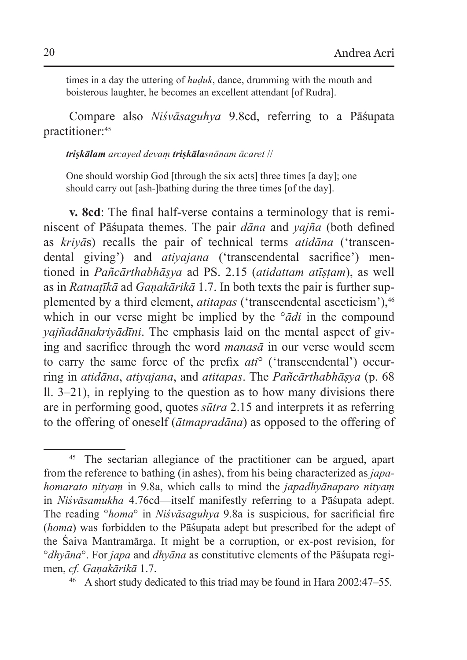times in a day the uttering of *huḍuk*, dance, drumming with the mouth and boisterous laughter, he becomes an excellent attendant [of Rudra].

Compare also *Niśvāsaguhya* 9.8cd, referring to a Pāśupata practitioner:45

#### *triṣkālam arcayed devaṃ triṣkālasnānam ācaret* //

One should worship God [through the six acts] three times [a day]; one should carry out [ash-]bathing during the three times [of the day].

**v. 8cd**: The final half-verse contains a terminology that is reminiscent of Pāśupata themes. The pair *dāna* and *yajña* (both defined as *kriyā*s) recalls the pair of technical terms *atidāna* ('transcendental giving') and *atiyajana* ('transcendental sacrifice') mentioned in *Pañcārthabhāṣya* ad PS. 2.15 (*atidattam atīṣṭam*), as well as in *Ratnaṭīkā* ad *Gaṇakārikā* 1.7. In both texts the pair is further supplemented by a third element, *atitapas* ('transcendental asceticism'),<sup>46</sup> which in our verse might be implied by the °*ādi* in the compound *yajñadānakriyādīni*. The emphasis laid on the mental aspect of giving and sacrifice through the word *manasā* in our verse would seem to carry the same force of the prefix *ati*° ('transcendental') occurring in *atidāna*, *atiyajana*, and *atitapas*. The *Pañcārthabhāṣya* (p. 68 ll. 3–21), in replying to the question as to how many divisions there are in performing good, quotes *sūtra* 2.15 and interprets it as referring to the offering of oneself (*ātmapradāna*) as opposed to the offering of

<sup>45</sup> The sectarian allegiance of the practitioner can be argued, apart from the reference to bathing (in ashes), from his being characterized as *japahomarato nityaṃ* in 9.8a, which calls to mind the *japadhyānaparo nityaṃ* in *Niśvāsamukha* 4.76cd—itself manifestly referring to a Pāśupata adept. The reading °*homa*° in *Niśvāsaguhya* 9.8a is suspicious, for sacrificial fire (*homa*) was forbidden to the Pāśupata adept but prescribed for the adept of the Śaiva Mantramārga. It might be a corruption, or ex-post revision, for °*dhyāna*°. For *japa* and *dhyāna* as constitutive elements of the Pāśupata regimen, *cf. Gaṇakārikā* 1.7.

<sup>46</sup> A short study dedicated to this triad may be found in Hara 2002:47–55.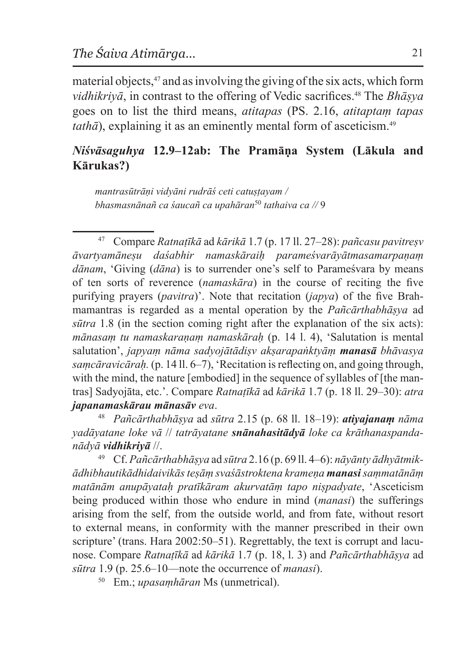material objects,<sup>47</sup> and as involving the giving of the six acts, which form *vidhikriyā*, in contrast to the offering of Vedic sacrifices.48 The *Bhāṣya* goes on to list the third means, *atitapas* (PS. 2.16, *atitaptaṃ tapas tathā*), explaining it as an eminently mental form of asceticism.<sup>49</sup>

### *Niśvāsaguhya* **12.9–12ab: The Pramāṇa System (Lākula and Kārukas?)**

*mantrasūtrāṇi vidyāni rudrāś ceti catuṣṭayam / bhasmasnānañ ca śaucañ ca upahāran*<sup>50</sup> *tathaiva ca //* 9

<sup>47</sup> Compare *Ratnaṭīkā* ad *kārikā* 1.7 (p. 17 ll. 27–28): *pañcasu pavitreṣv āvartyamāneṣu daśabhir namaskāraiḥ parameśvarāyātmasamarpaṇaṃ dānam*, 'Giving (*dāna*) is to surrender one's self to Parameśvara by means of ten sorts of reverence (*namaskāra*) in the course of reciting the five purifying prayers (*pavitra*)'. Note that recitation (*japya*) of the five Brahmamantras is regarded as a mental operation by the *Pañcārthabhāṣya* ad *sūtra* 1.8 (in the section coming right after the explanation of the six acts): *mānasaṃ tu namaskaraṇaṃ namaskāraḥ* (p. 14 l. 4), 'Salutation is mental salutation', *japyaṃ nāma sadyojātādiṣv akṣarapaṅktyāṃ manasā bhāvasya saṃcāravicāraḥ.* (p. 14 ll. 6–7), 'Recitation isreflecting on, and going through, with the mind, the nature [embodied] in the sequence of syllables of [the mantras] Sadyojāta, etc.'. Compare *Ratnaṭīkā* ad *kārikā* 1.7 (p. 18 ll. 29–30): *atra japanamaskārau mānasāv eva*.

<sup>48</sup> *Pañcārthabhāṣya* ad *sūtra* 2.15 (p. 68 ll. 18–19): *atiyajanaṃ nāma yadāyatane loke vā* // *tatrāyatane snānahasitādyā loke ca krāthanaspandanādyā vidhikriyā* //.

<sup>49</sup> Cf. *Pañcārthabhāṣya* ad *sūtra* 2.16 (p. 69 ll. 4–6): *nāyānty ādhyātmikādhibhautikādhidaivikās teṣāṃ svaśāstroktena krameṇa manasi saṃmatānāṃ matānām anupāyataḥ pratīkāram akurvatāṃ tapo niṣpadyate*, 'Asceticism being produced within those who endure in mind (*manasi*) the sufferings arising from the self, from the outside world, and from fate, without resort to external means, in conformity with the manner prescribed in their own scripture' (trans. Hara 2002:50–51). Regrettably, the text is corrupt and lacunose. Compare *Ratnaṭīkā* ad *kārikā* 1.7 (p. 18, l. 3) and *Pañcārthabhāṣya* ad *sūtra* 1.9 (p. 25.6–10—note the occurrence of *manasi*).

<sup>50</sup> Em.; *upasaṃhāran* Ms (unmetrical).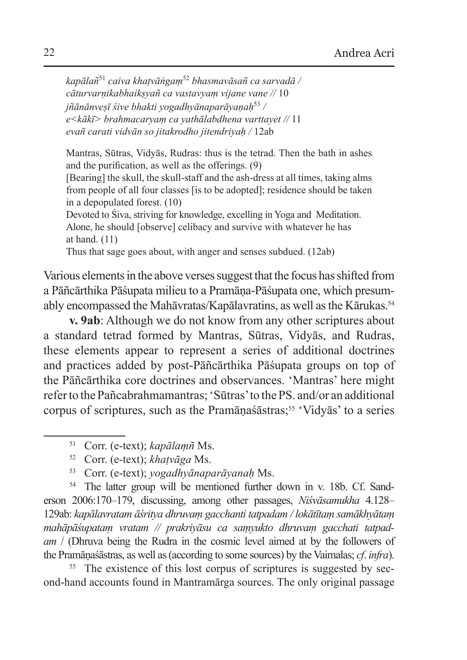*kapālañ*<sup>51</sup> *caiva khaṭvāṅgaṃ*<sup>52</sup> *bhasmavāsañ ca sarvadā / cāturvarṇikabhaikṣyañ ca vastavyaṃ vijane vane //* 10 *jñānānveṣī śive bhakti yogadhyānaparāyaṇaḥ*<sup>53</sup> */ e<kākī> brahmacaryaṃ ca yathālabdhena varttayet //* 11 *evañ carati vidvān so jitakrodho jitendriyaḥ /* 12ab

Mantras, Sūtras, Vidyās, Rudras: thus is the tetrad. Then the bath in ashes and the purification, as well as the offerings. (9)

[Bearing] the skull, the skull-staff and the ash-dress at all times, taking alms from people of all four classes [is to be adopted]; residence should be taken in a depopulated forest. (10)

Devoted to Śiva, striving for knowledge, excelling in Yoga and Meditation. Alone, he should [observe] celibacy and survive with whatever he has at hand. (11)

Thus that sage goes about, with anger and senses subdued. (12ab)

Various elements in the above verses suggest that the focus has shifted from a Pāñcārthika Pāśupata milieu to a Pramāṇa-Pāśupata one, which presumably encompassed the Mahāvratas/Kapālavratins, as well asthe Kārukas.54

**v. 9ab**: Although we do not know from any other scriptures about a standard tetrad formed by Mantras, Sūtras, Vidyās, and Rudras, these elements appear to represent a series of additional doctrines and practices added by post-Pāñcārthika Pāśupata groups on top of the Pāñcārthika core doctrines and observances. 'Mantras' here might refer to the Pañcabrahmamantras; 'Sūtras' to the PS. and/or an additional corpus of scriptures, such as the Pramāṇaśāstras;<sup>55</sup> 'Vidyās' to a series

<sup>54</sup> The latter group will be mentioned further down in v. 18b. Cf. Sanderson 2006:170–179, discussing, among other passages, *Niśvāsamukha* 4.128– 129ab: *kapālavratam āśritya dhruvaṃ gacchanti tatpadam / lokātītaṃ samākhyātaṃ mahāpāśupataṃ vratam // prakriyāsu ca saṃyukto dhruvaṃ gacchati tatpadam* / (Dhruva being the Rudra in the cosmic level aimed at by the followers of the Pramāṇaśāstras, as well as(according to some sources) by the Vaimalas; *cf*. *infra*).

<sup>55</sup> The existence of this lost corpus of scriptures is suggested by second-hand accounts found in Mantramārga sources. The only original passage

<sup>51</sup> Corr. (e-text); *kapālaṃñ* Ms.

<sup>52</sup> Corr. (e-text); *khaṭvāga* Ms.

<sup>53</sup> Corr. (e-text); *yogadhyānaparāyanaḥ* Ms.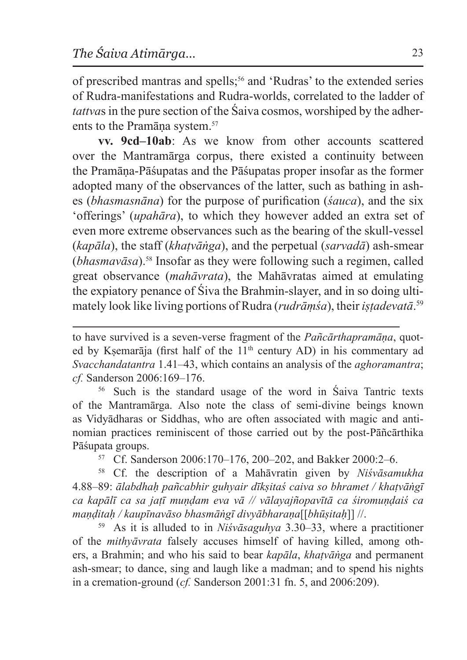of prescribed mantras and spells;<sup>56</sup> and 'Rudras' to the extended series of Rudra-manifestations and Rudra-worlds, correlated to the ladder of *tattva*s in the pure section of the Śaiva cosmos, worshiped by the adherents to the Pramāna system.<sup>57</sup>

**vv. 9cd–10ab**: As we know from other accounts scattered over the Mantramārga corpus, there existed a continuity between the Pramāṇa-Pāśupatas and the Pāśupatas proper insofar as the former adopted many of the observances of the latter, such as bathing in ashes (*bhasmasnāna*) for the purpose of purification (*śauca*), and the six 'offerings' (*upahāra*), to which they however added an extra set of even more extreme observances such as the bearing of the skull-vessel (*kapāla*), the staff (*khaṭvāṅga*), and the perpetual (*sarvadā*) ash-smear (*bhasmavāsa*).58 Insofar as they were following such a regimen, called great observance (*mahāvrata*), the Mahāvratas aimed at emulating the expiatory penance of Śiva the Brahmin-slayer, and in so doing ultimately look like living portions of Rudra (*rudrāṃśa*), their *iṣṭadevatā*. 59

<sup>56</sup> Such is the standard usage of the word in Śaiva Tantric texts of the Mantramārga. Also note the class of semi-divine beings known as Vidyādharas or Siddhas, who are often associated with magic and antinomian practices reminiscent of those carried out by the post-Pāñcārthika Pāśupata groups. 57 Cf. Sanderson 2006:170–176, 200–202, and Bakker 2000:2–6.

<sup>58</sup> Cf. the description of a Mahāvratin given by *Niśvāsamukha* 4.88–89: *ālabdhaḥ pañcabhir guhyair dīkṣitaś caiva so bhramet / khaṭvāṅgī ca kapālī ca sa jaṭī muṇḍam eva vā // vālayajñopavītā ca śiromuṇḍaiś ca maṇḍitaḥ / kaupīnavāso bhasmāṅgī divyābharaṇa*[[*bhūṣitaḥ*]] //.

<sup>59</sup> As it is alluded to in *Niśvāsaguhya* 3.30–33, where a practitioner of the *mithyāvrata* falsely accuses himself of having killed, among others, a Brahmin; and who his said to bear *kapāla*, *khaṭvāṅga* and permanent ash-smear; to dance, sing and laugh like a madman; and to spend his nights in a cremation-ground (*cf.* Sanderson 2001:31 fn. 5, and 2006:209).

to have survived is a seven-verse fragment of the *Pañcārthapramāṇa*, quoted by Kṣemarāja (first half of the 11<sup>th</sup> century AD) in his commentary ad *Svacchandatantra* 1.41–43, which contains an analysis of the *aghoramantra*; *cf.* Sanderson 2006:169–176.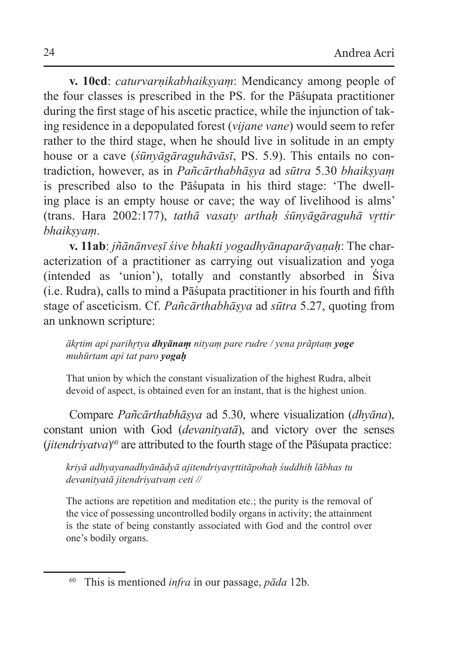**v. 10cd**: *caturvarṇikabhaikṣyaṃ*: Mendicancy among people of the four classes is prescribed in the PS. for the Pāśupata practitioner during the first stage of his ascetic practice, while the injunction of taking residence in a depopulated forest (*vijane vane*) would seem to refer rather to the third stage, when he should live in solitude in an empty house or a cave (*śūnyāgāraguhāvāsī*, PS. 5.9). This entails no contradiction, however, as in *Pañcārthabhāṣya* ad *sūtra* 5.30 *bhaikṣyaṃ* is prescribed also to the Pāśupata in his third stage: 'The dwelling place is an empty house or cave; the way of livelihood is alms' (trans. Hara 2002:177), *tathā vasaty arthaḥ śūnyāgāraguhā vr̥ttir bhaikṣyaṃ*.

**v. 11ab**: *jñānānveṣī śive bhakti yogadhyānaparāyaṇaḥ*: The characterization of a practitioner as carrying out visualization and yoga (intended as 'union'), totally and constantly absorbed in Śiva (i.e. Rudra), calls to mind a Pāśupata practitioner in his fourth and fifth stage of asceticism. Cf. *Pañcārthabhāṣya* ad *sūtra* 5.27, quoting from an unknown scripture:

#### *ākr̥tim api parihr̥tya dhyānaṃ nityaṃ pare rudre / yena prāptaṃ yoge muhūrtam api tat paro yogaḥ*

That union by which the constant visualization of the highest Rudra, albeit devoid of aspect, is obtained even for an instant, that is the highest union.

Compare *Pañcārthabhāṣya* ad 5.30, where visualization (*dhyāna*), constant union with God (*devanityatā*), and victory over the senses (*jitendriyatva*)<sup>60</sup> are attributed to the fourth stage of the Pāśupata practice:

*kriyā adhyayanadhyānādyā ajitendriyavr̥ttitāpohaḥ śuddhiḥ lābhas tu devanityatā jitendriyatvaṃ ceti //*

The actions are repetition and meditation etc.; the purity is the removal of the vice of possessing uncontrolled bodily organs in activity; the attainment is the state of being constantly associated with God and the control over one's bodily organs.

<sup>60</sup> This is mentioned *infra* in our passage, *pāda* 12b.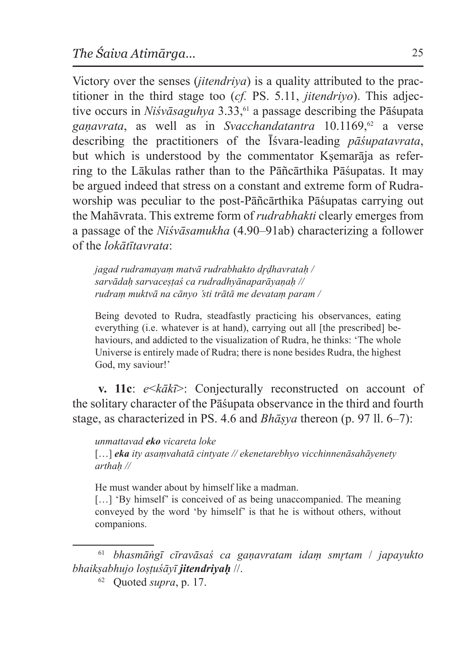Victory over the senses (*jitendriya*) is a quality attributed to the practitioner in the third stage too (*cf.* PS. 5.11, *jitendriyo*). This adjective occurs in *Niśvāsaguhya* 3.33,<sup>61</sup> a passage describing the Pāśupata *gaṇavrata*, as well as in *Svacchandatantra* 10.1169,62 a verse describing the practitioners of the Īśvara-leading *pāśupatavrata*, but which is understood by the commentator Ksemarāja as referring to the Lākulas rather than to the Pāñcārthika Pāśupatas. It may be argued indeed that stress on a constant and extreme form of Rudraworship was peculiar to the post-Pāñcārthika Pāśupatas carrying out the Mahāvrata. This extreme form of *rudrabhakti* clearly emerges from a passage of the *Niśvāsamukha* (4.90–91ab) characterizing a follower of the *lokātītavrata*:

*jagad rudramayaṃ matvā rudrabhakto dr̥ḍhavrataḥ / sarvādaḥ sarvaceṣṭaś ca rudradhyānaparāyaṇaḥ // rudraṃ muktvā na cānyo 'sti trātā me devataṃ param /*

Being devoted to Rudra, steadfastly practicing his observances, eating everything (i.e. whatever is at hand), carrying out all [the prescribed] behaviours, and addicted to the visualization of Rudra, he thinks: 'The whole Universe is entirely made of Rudra; there is none besides Rudra, the highest God, my saviour!'

**v. 11c**: *e*<*kākī*>: Conjecturally reconstructed on account of the solitary character of the Pāśupata observance in the third and fourth stage, as characterized in PS. 4.6 and *Bhāṣya* thereon (p. 97 ll. 6–7):

#### *unmattavad eko vicareta loke*

[...] *eka* ity asamvahatā cintyate // ekenetarebhyo vicchinnenāsahāyenety *arthaḥ //*

He must wander about by himself like a madman.

[...] 'By himself' is conceived of as being unaccompanied. The meaning conveyed by the word 'by himself' is that he is without others, without companions.

<sup>61</sup> *bhasmāṅgī cīravāsaś ca gaṇavratam idaṃ smr̥tam* / *japayukto bhaikṣabhujo loṣṭuśāyī jitendriyaḥ* //.

<sup>62</sup> Quoted *supra*, p. 17.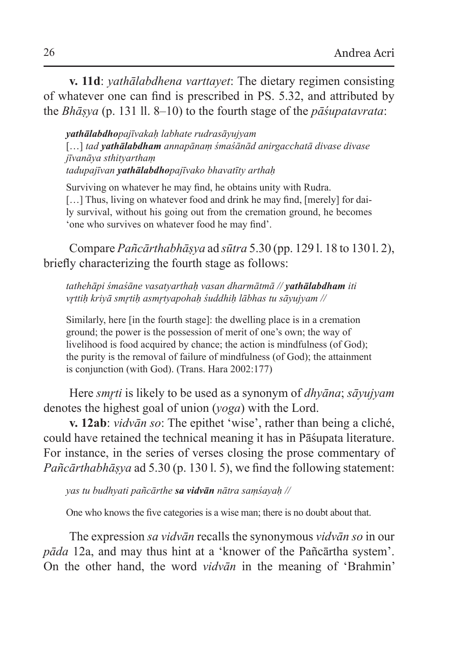**v. 11d**: *yathālabdhena varttayet*: The dietary regimen consisting of whatever one can find is prescribed in PS. 5.32, and attributed by the *Bhāṣya* (p. 131 ll. 8–10) to the fourth stage of the *pāśupatavrata*:

*yathālabdhopajīvakaḥ labhate rudrasāyujyam* […] *tad yathālabdham annapānaṃ śmaśānād anirgacchatā divase divase jīvanāya sthityarthaṃ tadupajīvan yathālabdhopajīvako bhavatīty arthaḥ*

Surviving on whatever he may find, he obtains unity with Rudra. [...] Thus, living on whatever food and drink he may find, [merely] for daily survival, without his going out from the cremation ground, he becomes 'one who survives on whatever food he may find'.

Compare *Pañcārthabhāṣya* ad *sūtra* 5.30 (pp. 129 l. 18 to 130 l. 2), briefly characterizing the fourth stage as follows:

*tathehāpi śmaśāne vasatyarthaḥ vasan dharmātmā // yathālabdham iti vr̥ttiḥ kriyā smr̥tiḥ asmr̥tyapohaḥ śuddhiḥ lābhas tu sāyujyam //*

Similarly, here [in the fourth stage]: the dwelling place is in a cremation ground; the power is the possession of merit of one's own; the way of livelihood is food acquired by chance; the action is mindfulness (of God); the purity is the removal of failure of mindfulness (of God); the attainment is conjunction (with God). (Trans. Hara 2002:177)

Here *smr̥ti* is likely to be used as a synonym of *dhyāna*; *sāyujyam* denotes the highest goal of union (*yoga*) with the Lord.

**v. 12ab**: *vidvān so*: The epithet 'wise', rather than being a cliché, could have retained the technical meaning it has in Pāśupata literature. For instance, in the series of verses closing the prose commentary of *Pañcārthabhāṣya* ad 5.30 (p. 130 l. 5), we find the following statement:

*yas tu budhyati pañcārthe sa vidvān nātra saṃśayaḥ //*

One who knows the five categories is a wise man; there is no doubt about that.

The expression *sa vidvān* recalls the synonymous *vidvān so* in our *pāda* 12a, and may thus hint at a 'knower of the Pañcārtha system'. On the other hand, the word *vidvān* in the meaning of 'Brahmin'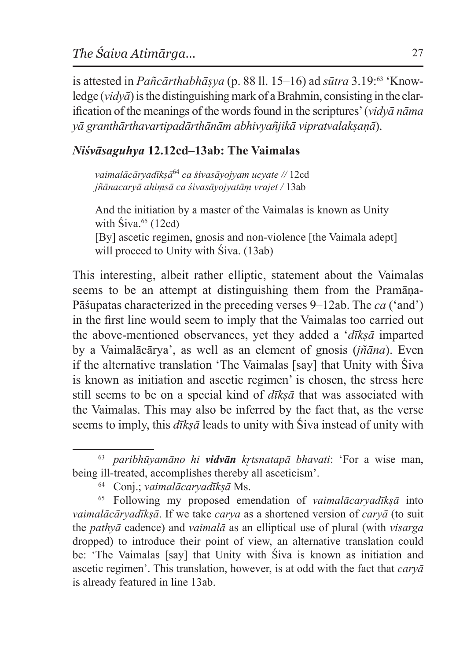is attested in *Pañcārthabhāṣya* (p. 88 ll. 15–16) ad *sūtra* 3.19:63 'Knowledge  $(vidv\bar{a})$  is the distinguishing mark of a Brahmin, consisting in the clarification of the meanings of the words found in the scriptures' (*vidyā nāma yā granthārthavartipadārthānām abhivyañjikā vipratvalakṣaṇā*).

# *Niśvāsaguhya* **12.12cd–13ab: The Vaimalas**

*vaimalācāryadīkṣā*<sup>64</sup> *ca śivasāyojyam ucyate //* 12cd *jñānacaryā ahiṃsā ca śivasāyojyatāṃ vrajet /* 13ab

And the initiation by a master of the Vaimalas is known as Unity with  $\text{Siva.}^{65}$  (12cd) [By] ascetic regimen, gnosis and non-violence [the Vaimala adept] will proceed to Unity with Siva. (13ab)

This interesting, albeit rather elliptic, statement about the Vaimalas seems to be an attempt at distinguishing them from the Pramāna-Pāśupatas characterized in the preceding verses 9–12ab. The *ca* ('and') in the first line would seem to imply that the Vaimalas too carried out the above-mentioned observances, yet they added a '*dīkṣā* imparted by a Vaimalācārya', as well as an element of gnosis (*jñāna*). Even if the alternative translation 'The Vaimalas [say] that Unity with Śiva is known as initiation and ascetic regimen' is chosen, the stress here still seems to be on a special kind of *dīkṣā* that was associated with the Vaimalas. This may also be inferred by the fact that, as the verse seems to imply, this *dīkṣā* leads to unity with Śiva instead of unity with

<sup>63</sup> *paribhūyamāno hi vidvān kr̥tsnatapā bhavati*: 'For a wise man, being ill-treated, accomplishes thereby all asceticism'.

<sup>64</sup> Conj.; *vaimalācaryadīkṣā* Ms.

<sup>65</sup> Following my proposed emendation of *vaimalācaryadīkṣā* into *vaimalācāryadīkṣā*. If we take *carya* as a shortened version of *caryā* (to suit the *pathyā* cadence) and *vaimalā* as an elliptical use of plural (with *visarga* dropped) to introduce their point of view, an alternative translation could be: 'The Vaimalas [say] that Unity with Śiva is known as initiation and ascetic regimen'. This translation, however, is at odd with the fact that *caryā* is already featured in line 13ab.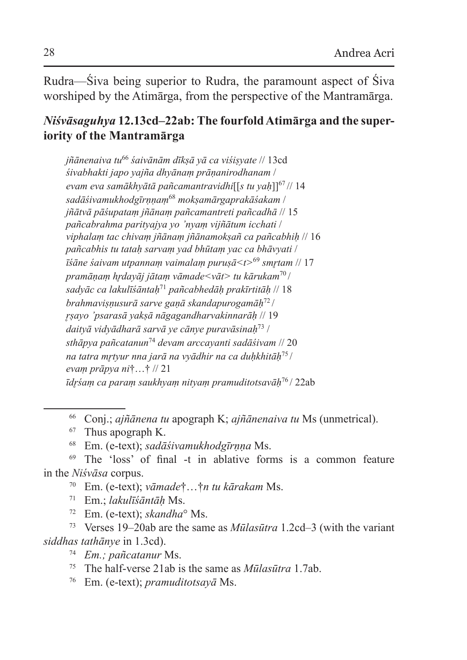Rudra—Śiva being superior to Rudra, the paramount aspect of Śiva worshiped by the Atimārga, from the perspective of the Mantramārga.

# *Niśvāsaguhya* **12.13cd–22ab: The fourfold Atimārga and the superiority of the Mantramārga**

*jñānenaiva tu*<sup>66</sup> *śaivānām dīkṣā yā ca viśiṣyate* // 13cd *śivabhakti japo yajña dhyānaṃ prāṇanirodhanam* / *evam eva samākhyātā pañcamantravidhi*[[*s tu yaḥ*]]<sup>67</sup> // 14 *sadāśivamukhodgīrṇṇaṃ*<sup>68</sup> *mokṣamārgaprakāśakam* / *jñātvā pāśupataṃ jñānaṃ pañcamantreti pañcadhā* // 15 *pañcabrahma parityajya yo 'nyaṃ vijñātum icchati* / *viphalaṃ tac chivaṃ jñānaṃ jñānamokṣañ ca pañcabhiḥ* // 16 *pañcabhis tu tataḥ sarvaṃ yad bhūtaṃ yac ca bhāvyati* / *īśāne śaivam utpannaṃ vaimalaṃ puruṣā<t>*<sup>69</sup> *smr̥tam* // 17 *pramāṇaṃ hr̥dayāj jātaṃ vāmade<vāt> tu kārukam*<sup>70</sup> / *sadyāc ca lakulīśāntaḥ*<sup>71</sup> *pañcabhedāḥ prakīrtitāḥ* // 18 *brahmaviṣṇusurā sarve gaṇā skandapurogamāḥ*<sup>72</sup> / *r̥ṣayo 'psarasā yakṣā nāgagandharvakinnarāḥ* // 19 *daityā vidyādharā sarvā ye cānye puravāsinaḥ*73 / *sthāpya pañcatanun*<sup>74</sup> *devam arccayanti sadāśivam* // 20 *na tatra mr̥tyur nna jarā na vyādhir na ca duḥkhitāḥ*<sup>75</sup> / *evaṃ prāpya ni*†…† // 21 *īdr̥śaṃ ca paraṃ saukhyaṃ nityaṃ pramuditotsavāḥ*<sup>76</sup> / 22ab

<sup>69</sup> The 'loss' of final -t in ablative forms is a common feature in the *Niśvāsa* corpus.

- <sup>70</sup> Em. (e-text); *vāmade*†…†*n tu kārakam* Ms.
- <sup>71</sup> Em.; *lakulīśāntāḥ* Ms.
- <sup>72</sup> Em. (e-text); *skandha*° Ms.

<sup>73</sup> Verses 19–20ab are the same as *Mūlasūtra* 1.2cd–3 (with the variant *siddhas tathānye* in 1.3cd).

- <sup>74</sup> *Em.; pañcatanur* Ms.
- <sup>75</sup> The half-verse 21ab is the same as *Mūlasūtra* 1.7ab.
- <sup>76</sup> Em. (e-text); *pramuditotsayā* Ms.

<sup>66</sup> Conj.; *ajñānena tu* apograph K; *ajñānenaiva tu* Ms (unmetrical).

<sup>67</sup> Thus apograph K.

<sup>68</sup> Em. (e-text); *sadāśivamukhodgīrṇṇa* Ms.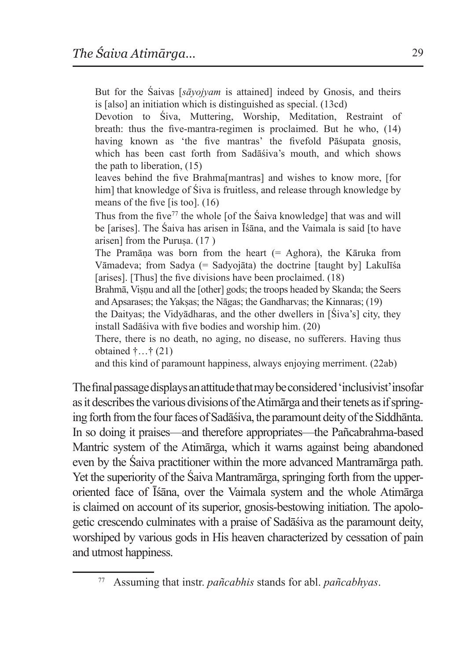But for the Śaivas [*sāyojyam* is attained] indeed by Gnosis, and theirs is [also] an initiation which is distinguished as special. (13cd)

Devotion to Śiva, Muttering, Worship, Meditation, Restraint of breath: thus the five-mantra-regimen is proclaimed. But he who, (14) having known as 'the five mantras' the fivefold Pāśupata gnosis, which has been cast forth from Sadāśiva's mouth, and which shows the path to liberation, (15)

leaves behind the five Brahma[mantras] and wishes to know more, [for him] that knowledge of Siva is fruitless, and release through knowledge by means of the five [is too]. (16)

Thus from the five<sup>77</sup> the whole [of the Śaiva knowledge] that was and will be [arises]. The Śaiva has arisen in Īśāna, and the Vaimala is said [to have arisen] from the Purusa.  $(17)$ 

The Pramāṇa was born from the heart (= Aghora), the Kāruka from Vāmadeva; from Sadya (= Sadyojāta) the doctrine [taught by] Lakulīśa [arises]. [Thus] the five divisions have been proclaimed. (18)

Brahmā, Visnu and all the [other] gods; the troops headed by Skanda; the Seers and Apsarases; the Yaksas; the Nāgas; the Gandharvas; the Kinnaras; (19)

the Daityas; the Vidyādharas, and the other dwellers in [Śiva's] city, they install Sadāśiva with five bodies and worship him. (20)

There, there is no death, no aging, no disease, no sufferers. Having thus obtained  $\uparrow$  ...  $\uparrow$  (21)

and this kind of paramount happiness, always enjoying merriment. (22ab)

Thefinal passage displays anattitude that may beconsidered 'inclusivist' insofar as it describes the various divisions of the Atimarga and their tenets as if springing forth from the four faces of Sadāśiva, the paramount deity of the Siddhānta. In so doing it praises—and therefore appropriates—the Pañcabrahma-based Mantric system of the Atimārga, which it warns against being abandoned even by the Śaiva practitioner within the more advanced Mantramārga path. Yet the superiority of the Śaiva Mantramārga, springing forth from the upperoriented face of Īśāna, over the Vaimala system and the whole Atimārga is claimed on account of its superior, gnosis-bestowing initiation. The apologetic crescendo culminates with a praise of Sadāśiva as the paramount deity, worshiped by various gods in His heaven characterized by cessation of pain and utmost happiness.

<sup>77</sup> Assuming that instr. *pañcabhis* stands for abl. *pañcabhyas*.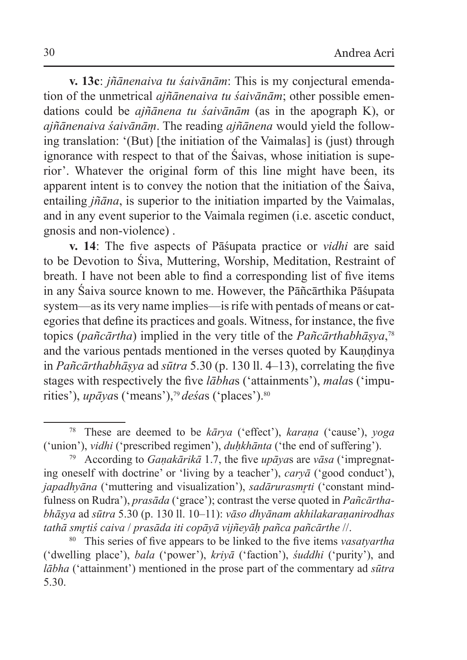**v. 13c**: *jñānenaiva tu śaivānām*: This is my conjectural emendation of the unmetrical *ajñānenaiva tu śaivānām*; other possible emendations could be *ajñānena tu śaivānām* (as in the apograph K), or *ajñānenaiva śaivānāṃ*. The reading *ajñānena* would yield the following translation: '(But) [the initiation of the Vaimalas] is (just) through ignorance with respect to that of the Śaivas, whose initiation is superior'. Whatever the original form of this line might have been, its apparent intent is to convey the notion that the initiation of the Śaiva, entailing *jñāna*, is superior to the initiation imparted by the Vaimalas, and in any event superior to the Vaimala regimen (i.e. ascetic conduct, gnosis and non-violence) .

**v. 14**: The five aspects of Pāśupata practice or *vidhi* are said to be Devotion to Śiva, Muttering, Worship, Meditation, Restraint of breath. I have not been able to find a corresponding list of five items in any Śaiva source known to me. However, the Pāñcārthika Pāśupata system—as its very name implies—is rife with pentads of means or categories that define its practices and goals. Witness, for instance, the five topics (*pañcārtha*) implied in the very title of the *Pañcārthabhāṣya*, 78 and the various pentads mentioned in the verses quoted by Kauṇḍinya in *Pañcārthabhāṣya* ad *sūtra* 5.30 (p. 130 ll. 4–13), correlating the five stages with respectively the five *lābha*s ('attainments'), *mala*s ('impurities'), *upāyas* ('means'),<sup>79</sup> desas ('places').<sup>80</sup>

<sup>78</sup> These are deemed to be *kārya* ('effect'), *karaṇa* ('cause'), *yoga* ('union'), *vidhi* ('prescribed regimen'), *duḥkhānta* ('the end of suffering').

<sup>79</sup> According to *Gaṇakārikā* 1.7, the five *upāya*s are *vāsa* ('impregnating oneself with doctrine' or 'living by a teacher'), *caryā* ('good conduct'), *japadhyāna* ('muttering and visualization'), *sadārurasmrti* ('constant mindfulness on Rudra'), *prasāda* ('grace'); contrast the verse quoted in *Pañcārthabhāṣya* ad *sūtra* 5.30 (p. 130 ll. 10–11): *vāso dhyānam akhilakaraṇanirodhas tathā smr̥tiś caiva* / *prasāda iti copāyā vijñeyāḥ pañca pañcārthe* //.

<sup>80</sup> This series of five appears to be linked to the five items *vasatyartha* ('dwelling place'), *bala* ('power'), *kriyā* ('faction'), *śuddhi* ('purity'), and *lābha* ('attainment') mentioned in the prose part of the commentary ad *sūtra* 5.30.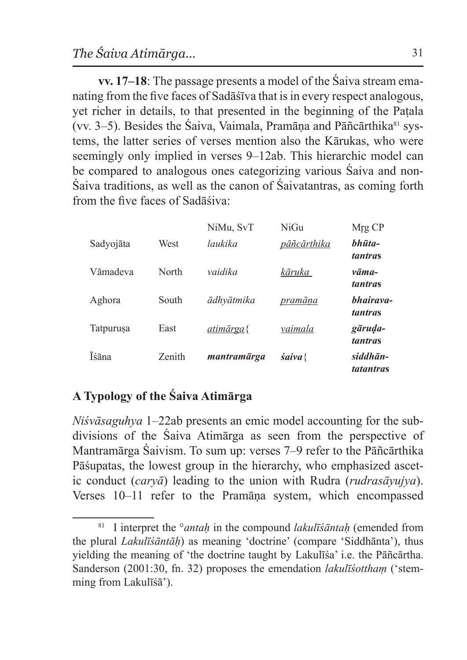**vv. 17–18**: The passage presents a model of the Śaiva stream emanating from the five faces of Sadāśīva that is in every respect analogous, yet richer in details, to that presented in the beginning of the Paṭala (vv. 3–5). Besides the Śaiva, Vaimala, Pramāņa and Pāñcārthika<sup>81</sup> systems, the latter series of verses mention also the Kārukas, who were seemingly only implied in verses 9–12ab. This hierarchic model can be compared to analogous ones categorizing various Śaiva and non-Śaiva traditions, as well as the canon of Śaivatantras, as coming forth from the five faces of Sadāśiva:

|           |        | NiMu, SvT   | NiGu          | Mrg CP                |
|-----------|--------|-------------|---------------|-----------------------|
| Sadyojāta | West   | laukika     | pāñcārthika   | bhūta-<br>tantras     |
| Vāmadeva  | North  | vaidika     | kāruka        | vāma-<br>tantras      |
| Aghora    | South  | ādhvātmika  | pramāna       | bhairava-<br>tantras  |
| Tatpurusa | East   | atimārga{   | vaimala       | gāruda-<br>tantras    |
| Īśāna     | Zenith | mantramārga | $s$ aiva $\{$ | siddhān-<br>tatantras |

# **A Typology of the Śaiva Atimārga**

*Niśvāsaguhya* 1–22ab presents an emic model accounting for the subdivisions of the Śaiva Atimārga as seen from the perspective of Mantramārga Śaivism. To sum up: verses 7–9 refer to the Pāñcārthika Pāśupatas, the lowest group in the hierarchy, who emphasized ascetic conduct (*caryā*) leading to the union with Rudra (*rudrasāyujya*). Verses 10–11 refer to the Pramāṇa system, which encompassed

<sup>81</sup> I interpret the °*antaḥ* in the compound *lakulīśāntaḥ* (emended from the plural *Lakulīśāntāḥ*) as meaning 'doctrine' (compare 'Siddhānta'), thus yielding the meaning of 'the doctrine taught by Lakulīśa' i.e. the Pāñcārtha. Sanderson (2001:30, fn. 32) proposes the emendation *lakulīśotthaṃ* ('stemming from Lakulīśā').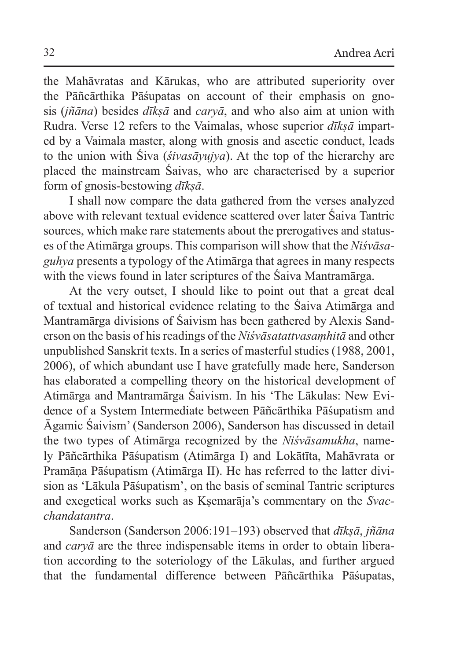the Mahāvratas and Kārukas, who are attributed superiority over the Pāñcārthika Pāśupatas on account of their emphasis on gnosis (*jñāna*) besides *dīkṣā* and *caryā*, and who also aim at union with Rudra. Verse 12 refers to the Vaimalas, whose superior *dīkṣā* imparted by a Vaimala master, along with gnosis and ascetic conduct, leads to the union with Śiva (*śivasāyujya*). At the top of the hierarchy are placed the mainstream Śaivas, who are characterised by a superior form of gnosis-bestowing *dīkṣā*.

I shall now compare the data gathered from the verses analyzed above with relevant textual evidence scattered over later Śaiva Tantric sources, which make rare statements about the prerogatives and statuses of the Atimārga groups. This comparison will show that the *Niśvāsaguhya* presents a typology of the Atimārga that agrees in many respects with the views found in later scriptures of the Śaiva Mantramārga.

At the very outset, I should like to point out that a great deal of textual and historical evidence relating to the Śaiva Atimārga and Mantramārga divisions of Śaivism has been gathered by Alexis Sanderson on the basis of his readings of the *Niśvāsatattvasaṃhitā* and other unpublished Sanskrit texts. In a series of masterful studies (1988, 2001, 2006), of which abundant use I have gratefully made here, Sanderson has elaborated a compelling theory on the historical development of Atimārga and Mantramārga Śaivism. In his 'The Lākulas: New Evidence of a System Intermediate between Pāñcārthika Pāśupatism and Āgamic Śaivism' (Sanderson 2006), Sanderson has discussed in detail the two types of Atimārga recognized by the *Niśvāsamukha*, namely Pāñcārthika Pāśupatism (Atimārga I) and Lokātīta, Mahāvrata or Pramāṇa Pāśupatism (Atimārga II). He has referred to the latter division as 'Lākula Pāśupatism', on the basis of seminal Tantric scriptures and exegetical works such as Kṣemarāja's commentary on the *Svacchandatantra*.

Sanderson (Sanderson 2006:191–193) observed that *dīkṣā*, *jñāna* and *caryā* are the three indispensable items in order to obtain liberation according to the soteriology of the Lākulas, and further argued that the fundamental difference between Pāñcārthika Pāśupatas,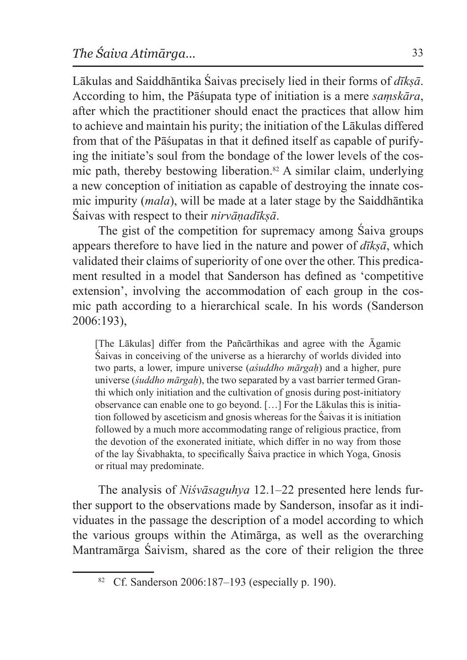Lākulas and Saiddhāntika Śaivas precisely lied in their forms of *dīkṣā*. According to him, the Pāśupata type of initiation is a mere *saṃskāra*, after which the practitioner should enact the practices that allow him to achieve and maintain his purity; the initiation of the Lākulas differed from that of the Pāśupatas in that it defined itself as capable of purifying the initiate's soul from the bondage of the lower levels of the cosmic path, thereby bestowing liberation.82 A similar claim, underlying a new conception of initiation as capable of destroying the innate cosmic impurity (*mala*), will be made at a later stage by the Saiddhāntika Śaivas with respect to their *nirvāṇadīkṣā*.

The gist of the competition for supremacy among Śaiva groups appears therefore to have lied in the nature and power of *dīkṣā*, which validated their claims of superiority of one over the other. This predicament resulted in a model that Sanderson has defined as 'competitive extension', involving the accommodation of each group in the cosmic path according to a hierarchical scale. In his words (Sanderson 2006:193),

[The Lākulas] differ from the Pañcārthikas and agree with the Āgamic Śaivas in conceiving of the universe as a hierarchy of worlds divided into two parts, a lower, impure universe (*aśuddho mārgaḥ*) and a higher, pure universe (*śuddho mārgaḥ*), the two separated by a vast barrier termed Granthi which only initiation and the cultivation of gnosis during post-initiatory observance can enable one to go beyond. […] For the Lākulas this is initiation followed by asceticism and gnosis whereas for the Śaivas it is initiation followed by a much more accommodating range of religious practice, from the devotion of the exonerated initiate, which differ in no way from those of the lay Śivabhakta, to specifically Śaiva practice in which Yoga, Gnosis or ritual may predominate.

The analysis of *Niśvāsaguhya* 12.1–22 presented here lends further support to the observations made by Sanderson, insofar as it individuates in the passage the description of a model according to which the various groups within the Atimārga, as well as the overarching Mantramārga Śaivism, shared as the core of their religion the three

<sup>82</sup> Cf. Sanderson 2006:187–193 (especially p. 190).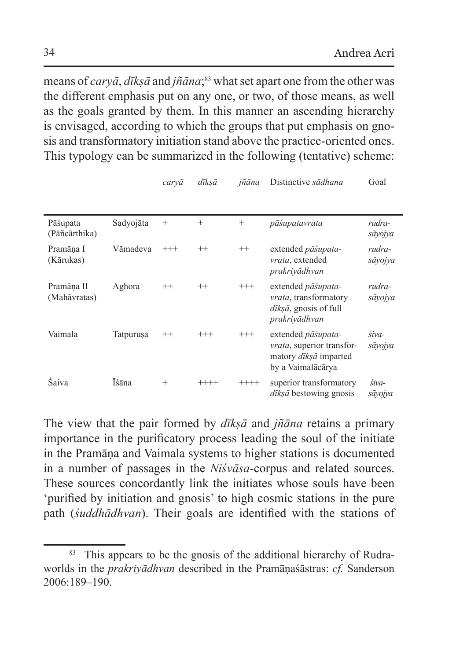means of *caryā*, *dīkṣā* and *jñāna*; 83 what set apart one from the other was the different emphasis put on any one, or two, of those means, as well as the goals granted by them. In this manner an ascending hierarchy is envisaged, according to which the groups that put emphasis on gnosis and transformatory initiation stand above the practice-oriented ones. This typology can be summarized in the following (tentative) scheme:

|                            |           | caryā    | dīksā    | jñāna    | Distinctive sādhana                                                                                                  | Goal              |
|----------------------------|-----------|----------|----------|----------|----------------------------------------------------------------------------------------------------------------------|-------------------|
| Pāśupata<br>(Pāñcārthika)  | Sadyojāta | $^{+}$   | $^{+}$   | $^{+}$   | pāśupatavrata                                                                                                        | rudra-<br>sāyojya |
| Pramāna I<br>(Kārukas)     | Vāmadeva  | $^{+++}$ | $^{++}$  | $^{++}$  | extended pāśupata-<br><i>vrata</i> , extended<br>prakriyādhvan                                                       | rudra-<br>sāyojya |
| Pramāna II<br>(Mahāvratas) | Aghora    | $^{++}$  | $^{++}$  | $^{+++}$ | extended pāśupata-<br><i>vrata</i> , transformatory<br>$d\bar{t}$ <i>ksā</i> , gnosis of full<br>prakriyādhvan       | rudra-<br>sāyojya |
| Vaimala                    | Tatpurusa | $^{++}$  | $^{+++}$ | $^{+++}$ | extended <i>pāśupata</i> -<br><i>vrata</i> , superior transfor-<br>matory <i>dīksā</i> imparted<br>by a Vaimalācārya | śiva-<br>sāyojya  |
| Śaiva                      | Īśāna     | $^{+}$   | $^{+++}$ | $++++$   | superior transformatory<br><i>dīksā</i> bestowing gnosis                                                             | śiva-<br>sāyojya  |

The view that the pair formed by *dīkṣā* and *jñāna* retains a primary importance in the purificatory process leading the soul of the initiate in the Pramāṇa and Vaimala systems to higher stations is documented in a number of passages in the *Niśvāsa*-corpus and related sources. These sources concordantly link the initiates whose souls have been 'purified by initiation and gnosis' to high cosmic stations in the pure path (*śuddhādhvan*). Their goals are identified with the stations of

<sup>&</sup>lt;sup>83</sup> This appears to be the gnosis of the additional hierarchy of Rudraworlds in the *prakriyādhvan* described in the Pramāṇaśāstras: *cf.* Sanderson 2006:189–190.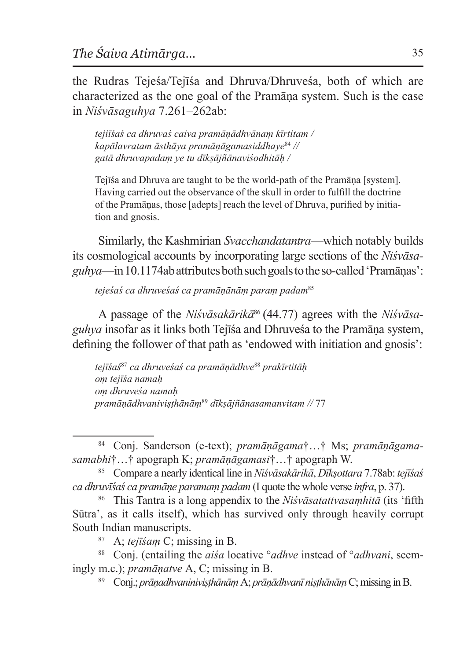the Rudras Tejeśa/Tejīśa and Dhruva/Dhruveśa, both of which are characterized as the one goal of the Pramāṇa system. Such is the case in *Niśvāsaguhya* 7.261–262ab:

*tejiīśaś ca dhruvaś caiva pramāṇādhvānaṃ kīrtitam / kapālavratam āsthāya pramāṇāgamasiddhaye*<sup>84</sup> *// gatā dhruvapadaṃ ye tu dīkṣājñānaviśodhitāḥ /*

Tejīśa and Dhruva are taught to be the world-path of the Pramāṇa [system]. Having carried out the observance of the skull in order to fulfill the doctrine of the Pramāṇas, those [adepts] reach the level of Dhruva, purified by initiation and gnosis.

Similarly, the Kashmirian *Svacchandatantra*—which notably builds its cosmological accounts by incorporating large sections of the *Niśvāsaguhya*—in10.1174ab attributes both such goals totheso-called 'Pramāṇas':

*tejeśaś ca dhruveśaś ca pramāṇānāṃ paraṃ padam*<sup>85</sup>

A passage of the *Niśvāsakārikā*<sup>86</sup> (44.77) agrees with the *Niśvāsaguhya* insofar as it links both Tejīśa and Dhruveśa to the Pramāṇa system, defining the follower of that path as 'endowed with initiation and gnosis':

*tejīśaś*<sup>87</sup> *ca dhruveśaś ca pramāṇādhve*<sup>88</sup> *prakīrtitāḥ oṃ tejīśa namaḥ oṃ dhruveśa namaḥ pramāṇādhvaniviṣṭhānāṃ*<sup>89</sup> *dīkṣājñānasamanvitam //* 77

<sup>84</sup> Conj. Sanderson (e-text); *pramāṇāgama*†…† Ms; *pramāṇāgamasamabhi*†…† apograph K; *pramāṇāgamasi*†…† apograph W.

<sup>85</sup> Compare a nearly identical line in*Niśvāsakārikā*, *Dīkṣottara* 7.78ab: *tejīśaś ca dhruvīśaś ca pramāṇe paramaṃ padam* (I quote the whole verse *infra*, p. 37).

<sup>86</sup> This Tantra is a long appendix to the *Niśvāsatattvasaṃhitā* (its 'fifth Sūtra', as it calls itself), which has survived only through heavily corrupt South Indian manuscripts.

<sup>87</sup> A; *tejīśaṃ* C; missing in B.

<sup>88</sup> Conj. (entailing the *aiśa* locative °*adhve* instead of °*adhvani*, seemingly m.c.); *pramāṇatve* A, C; missing in B.

<sup>89</sup> Conj.; *prāṇadhvaniniviṣṭhānāṃ* A; *prāṇādhvanī niṣṭhānāṃ* C; missing inB.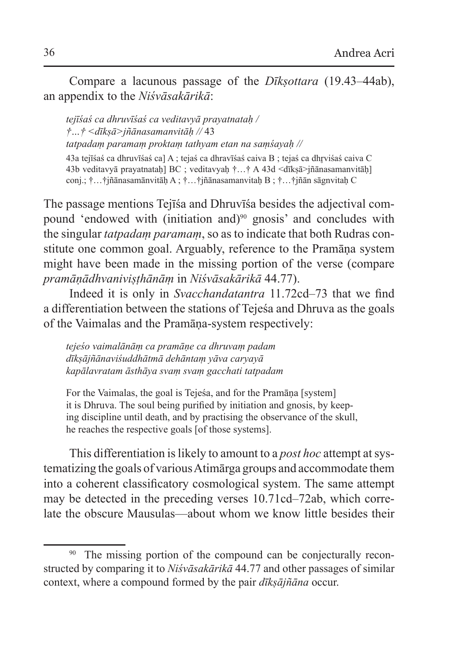Compare a lacunous passage of the *Dīkṣottara* (19.43–44ab), an appendix to the *Niśvāsakārikā*:

*tejīśaś ca dhruvīśaś ca veditavyā prayatnataḥ / †…† <dīkṣā>jñānasamanvitāḥ //* 43 *tatpadaṃ paramaṃ proktaṃ tathyam etan na saṃśayaḥ //* 43a tejīśaś ca dhruvīśaś ca] A ; tejaś ca dhravīśaś caiva B ; tejaś ca dhr̥viśaś caiva C 43b veditavyā prayatnataḥ] BC ; veditavyaḥ †…† A 43d <dīkṣā>jñānasamanvitāḥ] conj.; †…†jñānasamānvitāḥ A ; †…†jñānasamanvitaḥ B ; †…†jñān sāgnvitaḥ C

The passage mentions Tejīśa and Dhruvīśa besides the adjectival compound 'endowed with (initiation and)<sup>90</sup> gnosis' and concludes with the singular *tatpadaṃ paramaṃ*, so as to indicate that both Rudras constitute one common goal. Arguably, reference to the Pramāna system might have been made in the missing portion of the verse (compare *pramāṇādhvaniviṣṭhānāṃ* in *Niśvāsakārikā* 44.77).

Indeed it is only in *Svacchandatantra* 11.72cd–73 that we find a differentiation between the stations of Tejeśa and Dhruva as the goals of the Vaimalas and the Pramāṇa-system respectively:

*tejeśo vaimalānāṃ ca pramāṇe ca dhruvaṃ padam dīkṣājñānaviśuddhātmā dehāntaṃ yāva caryayā kapālavratam āsthāya svaṃ svaṃ gacchati tatpadam*

For the Vaimalas, the goal is Tejeśa, and for the Pramāṇa [system] it is Dhruva. The soul being purified by initiation and gnosis, by keeping discipline until death, and by practising the observance of the skull, he reaches the respective goals [of those systems].

This differentiation is likely to amount to a *post hoc* attempt at systematizing the goals of various Atimārga groups and accommodate them into a coherent classificatory cosmological system. The same attempt may be detected in the preceding verses 10.71cd–72ab, which correlate the obscure Mausulas—about whom we know little besides their

<sup>&</sup>lt;sup>90</sup> The missing portion of the compound can be conjecturally reconstructed by comparing it to *Niśvāsakārikā* 44.77 and other passages of similar context, where a compound formed by the pair *dīkṣājñāna* occur.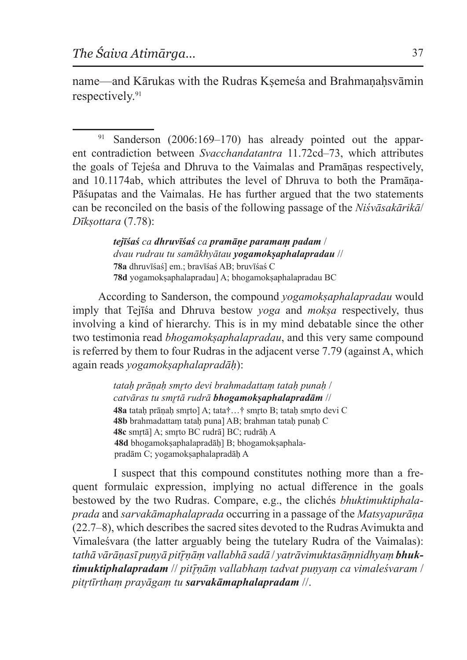name—and Kārukas with the Rudras Ksemeśa and Brahmanahsvāmin respectively.<sup>91</sup>

<sup>91</sup> Sanderson (2006:169–170) has already pointed out the apparent contradiction between *Svacchandatantra* 11.72cd–73, which attributes the goals of Tejeśa and Dhruva to the Vaimalas and Pramāṇas respectively, and 10.1174ab, which attributes the level of Dhruva to both the Pramāṇa-Pāśupatas and the Vaimalas. He has further argued that the two statements can be reconciled on the basis of the following passage of the *Niśvāsakārikā*/ *Dīkṣottara* (7.78):

> *tejīśaś ca dhruvīśaś ca pramāṇe paramaṃ padam* / *dvau rudrau tu samākhyātau yogamokṣaphalapradau* // **78a** dhruvīśaś] em.; bravīśaś AB; bruvīśaś C 78d yogamoksaphalapradau] A; bhogamoksaphalapradau BC

According to Sanderson, the compound *yogamokṣaphalapradau* would imply that Tejīśa and Dhruva bestow *yoga* and *mokṣa* respectively, thus involving a kind of hierarchy. This is in my mind debatable since the other two testimonia read *bhogamokṣaphalapradau*, and this very same compound is referred by them to four Rudras in the adjacent verse 7.79 (against A, which again reads *yogamokṣaphalapradāḥ*):

> *tataḥ prāṇaḥ smr̥to devi brahmadattaṃ tataḥ punaḥ* / *catvāras tu smr̥tā rudrā bhogamokṣaphalapradām* // **48a** tatah prānah smrto] A; tata†…† smrto B; tatah smrto devi C **48b** brahmadattaṃ tataḥ puna] AB; brahman tataḥ punaḥ C **48c** smr̥tā] A; smr̥to BC rudrā] BC; rudrāḥ A **48d** bhogamokṣaphalapradāḥ] B; bhogamokṣaphalapradām C; yogamoksaphalapradāh A

I suspect that this compound constitutes nothing more than a frequent formulaic expression, implying no actual difference in the goals bestowed by the two Rudras. Compare, e.g., the clichés *bhuktimuktiphalaprada* and *sarvakāmaphalaprada* occurring in a passage of the *Matsyapurāṇa* (22.7–8), which describes the sacred sites devoted to the Rudras Avimukta and Vimaleśvara (the latter arguably being the tutelary Rudra of the Vaimalas): *tathā vārāṇasī puṇyā pit ̄r̥ṇāṃ vallabhā sadā* / *yatrāvimuktasāṃnidhyaṃ bhuktimuktiphalapradam* // *pit ̄r̥ṇāṃ vallabhaṃ tadvat puṇyaṃ ca vimaleśvaram* / *pitr̥tīrthaṃ prayāgaṃ tu sarvakāmaphalapradam* //.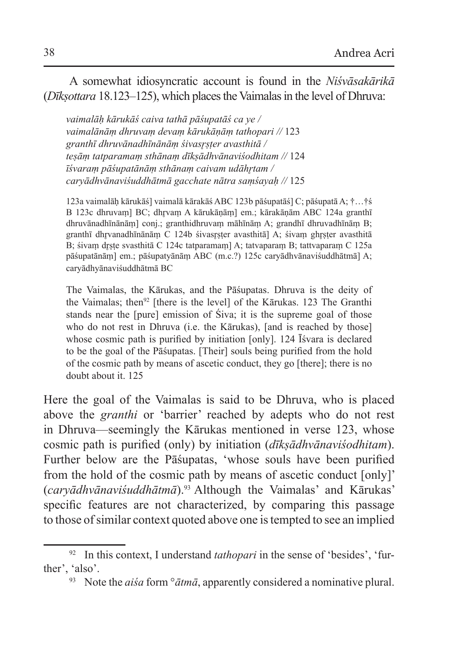A somewhat idiosyncratic account is found in the *Niśvāsakārikā* (*Dīkṣottara* 18.123–125), which places the Vaimalas in the level of Dhruva:

*vaimalāḥ kārukāś caiva tathā pāśupatāś ca ye / vaimalānāṃ dhruvaṃ devaṃ kārukāṇāṃ tathopari //* 123 *granthī dhruvānadhīnānāṃ śivasr̥ṣṭer avasthitā / teṣāṃ tatparamaṃ sthānaṃ dīkṣādhvānaviśodhitam //* 124 *īśvaraṃ pāśupatānāṃ sthānaṃ caivam udāhr̥tam / caryādhvānaviśuddhātmā gacchate nātra saṃśayaḥ //* 125

123a vaimalāḥ kārukāś] vaimalā kārakāś ABC 123b pāśupatāś] C; pāśupatā A; †…†ś B 123c dhruvam] BC; dhrvam A kārukāṇām] em.; kārakāṇām ABC 124a granthī dhruvānadhīnānāṃ] conj.; granthidhruvaṃ māhīnāṃ A; grandhī dhruvadhīnāṃ B; granthī dhrvanadhīnānām C 124b śivasrster avasthitā] A; śivam ghrster avasthitā B; śivam drste svasthitā C 124c tatparamam] A; tatvaparam B; tattvaparam C 125a pāśupatānāṃ] em.; pāśupatyānāṃ ABC (m.c.?) 125c caryādhvānaviśuddhātmā] A; caryādhyānaviśuddhātmā BC

The Vaimalas, the Kārukas, and the Pāśupatas. Dhruva is the deity of the Vaimalas; then<sup>92</sup> [there is the level] of the Kārukas. 123 The Granthi stands near the [pure] emission of Śiva; it is the supreme goal of those who do not rest in Dhruva (i.e. the Kārukas), [and is reached by those] whose cosmic path is purified by initiation [only]. 124 Isvara is declared to be the goal of the Pāśupatas. [Their] souls being purified from the hold of the cosmic path by means of ascetic conduct, they go [there]; there is no doubt about it. 125

Here the goal of the Vaimalas is said to be Dhruva, who is placed above the *granthi* or 'barrier' reached by adepts who do not rest in Dhruva—seemingly the Kārukas mentioned in verse 123, whose cosmic path is purified (only) by initiation (*dīkṣādhvānaviśodhitam*). Further below are the Pāśupatas, 'whose souls have been purified from the hold of the cosmic path by means of ascetic conduct [only]' (*caryādhvānaviśuddhātmā*).93 Although the Vaimalas' and Kārukas' specific features are not characterized, by comparing this passage to those of similar context quoted above one istempted to see an implied

<sup>92</sup> In this context, I understand *tathopari* in the sense of 'besides', 'further', 'also'.

<sup>93</sup> Note the *aiśa* form °*ātmā*, apparently considered a nominative plural.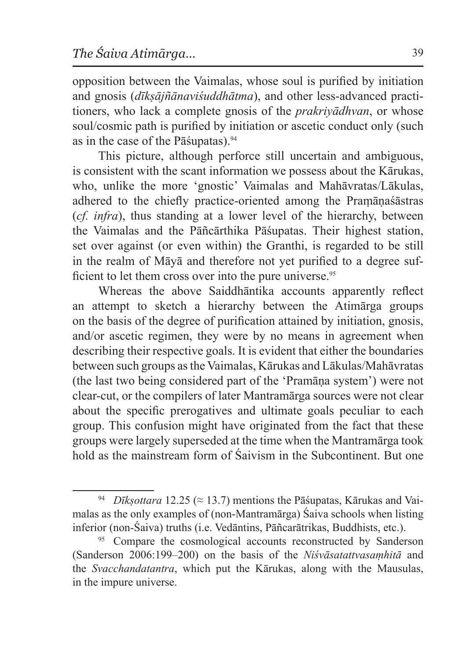opposition between the Vaimalas, whose soul is purified by initiation and gnosis (*dīkṣājñānaviśuddhātma*), and other less-advanced practitioners, who lack a complete gnosis of the *prakriyādhvan*, or whose soul/cosmic path is purified by initiation or ascetic conduct only (such as in the case of the Pāśupatas).94

This picture, although perforce still uncertain and ambiguous, is consistent with the scant information we possess about the Kārukas, who, unlike the more 'gnostic' Vaimalas and Mahāvratas/Lākulas, adhered to the chiefly practice-oriented among the Praṃāṇaśāstras (*cf. infra*), thus standing at a lower level of the hierarchy, between the Vaimalas and the Pāñcārthika Pāśupatas. Their highest station, set over against (or even within) the Granthi, is regarded to be still in the realm of Māyā and therefore not yet purified to a degree sufficient to let them cross over into the pure universe.<sup>95</sup>

Whereas the above Saiddhāntika accounts apparently reflect an attempt to sketch a hierarchy between the Atimārga groups on the basis of the degree of purification attained by initiation, gnosis, and/or ascetic regimen, they were by no means in agreement when describing their respective goals. It is evident that either the boundaries between such groups asthe Vaimalas, Kārukas and Lākulas/Mahāvratas (the last two being considered part of the 'Pramāṇa system') were not clear-cut, or the compilers of later Mantramārga sources were not clear about the specific prerogatives and ultimate goals peculiar to each group. This confusion might have originated from the fact that these groups were largely superseded at the time when the Mantramārga took hold as the mainstream form of Saivism in the Subcontinent. But one

<sup>&</sup>lt;sup>94</sup> *Dīkṣottara* 12.25 ( $\approx$  13.7) mentions the Pāśupatas, Kārukas and Vaimalas as the only examples of (non-Mantramārga) Śaiva schools when listing inferior (non-Śaiva) truths (i.e. Vedāntins, Pāñcarātrikas, Buddhists, etc.).

<sup>&</sup>lt;sup>95</sup> Compare the cosmological accounts reconstructed by Sanderson (Sanderson 2006:199–200) on the basis of the *Niśvāsatattvasaṃhitā* and the *Svacchandatantra*, which put the Kārukas, along with the Mausulas, in the impure universe.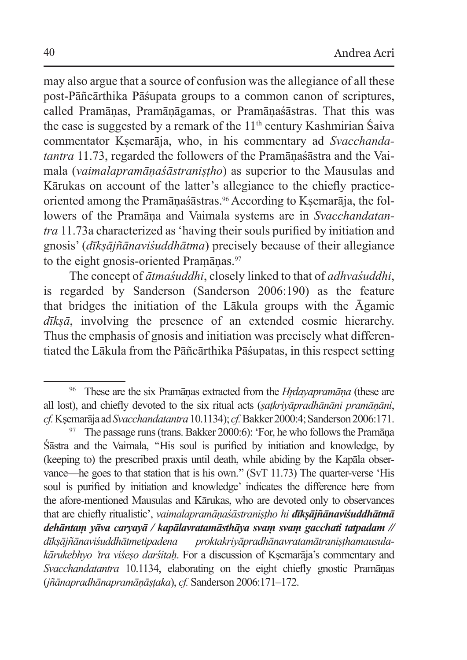may also argue that a source of confusion was the allegiance of all these post-Pāñcārthika Pāśupata groups to a common canon of scriptures, called Pramāṇas, Pramāṇāgamas, or Pramāṇaśāstras. That this was the case is suggested by a remark of the  $11<sup>th</sup>$  century Kashmirian Śaiva commentator Kṣemarāja, who, in his commentary ad *Svacchandatantra* 11.73, regarded the followers of the Pramāṇaśāstra and the Vaimala (*vaimalapramāṇaśāstraniṣṭho*) as superior to the Mausulas and Kārukas on account of the latter's allegiance to the chiefly practiceoriented among the Pramāṇaśāstras.<sup>96</sup> According to Kṣemarāja, the followers of the Pramāṇa and Vaimala systems are in *Svacchandatantra* 11.73a characterized as 'having their souls purified by initiation and gnosis' (*dīkṣājñānaviśuddhātma*) precisely because of their allegiance to the eight gnosis-oriented Pramānas.<sup>97</sup>

The concept of *ātmaśuddhi*, closely linked to that of *adhvaśuddhi*, is regarded by Sanderson (Sanderson 2006:190) as the feature that bridges the initiation of the Lākula groups with the Āgamic *dīkṣā*, involving the presence of an extended cosmic hierarchy. Thus the emphasis of gnosis and initiation was precisely what differentiated the Lākula from the Pāñcārthika Pāśupatas, in this respect setting

<sup>96</sup> These are the six Pramāṇas extracted from the *Hr̥dayapramāṇa* (these are all lost), and chiefly devoted to the six ritual acts (*ṣaṭkriyāpradhānāni pramāṇāni*, *cf.*Kṣemarāja ad *Svacchandatantra*10.1134); *cf.*Bakker 2000:4; Sanderson 2006:171.

<sup>&</sup>lt;sup>97</sup> The passage runs (trans. Bakker 2000:6): 'For, he who follows the Pramāna Śāstra and the Vaimala, ''His soul is purified by initiation and knowledge, by (keeping to) the prescribed praxis until death, while abiding by the Kapāla observance—he goes to that station that is his own.'' (SvT 11.73) The quarter-verse 'His soul is purified by initiation and knowledge' indicates the difference here from the afore-mentioned Mausulas and Kārukas, who are devoted only to observances that are chiefly ritualistic', *vaimalapramāṇaśāstraniṣṭho hi dīkṣājñānaviśuddhātmā dehāntaṃ yāva caryayā / kapālavratamāsthāya svaṃ svaṃ gacchati tatpadam // dīkṣājñānaviśuddhātmetipadena proktakriyāpradhānavratamātraniṣṭhamausulakārukebhyo 'tra viśeṣo darśitaḥ*. For a discussion of Kṣemarāja's commentary and *Svacchandatantra* 10.1134, elaborating on the eight chiefly gnostic Pramāṇas (*jñānapradhānapramāṇāṣṭaka*), *cf.* Sanderson 2006:171–172.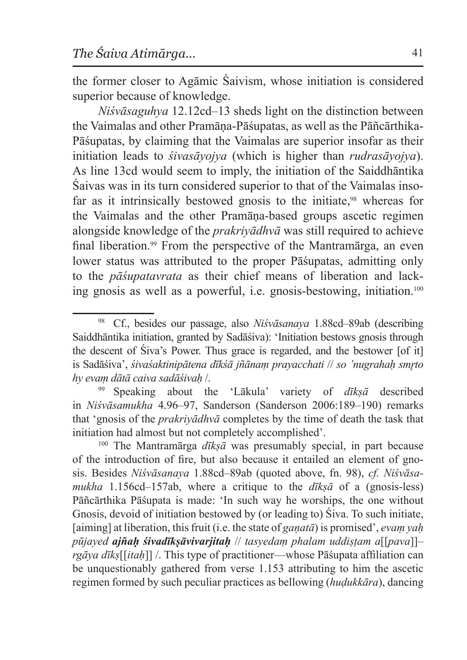the former closer to Agāmic Śaivism, whose initiation is considered superior because of knowledge.

*Niśvāsaguhya* 12.12cd–13 sheds light on the distinction between the Vaimalas and other Pramāṇa-Pāśupatas, as well as the Pāñcārthika-Pāśupatas, by claiming that the Vaimalas are superior insofar as their initiation leads to *śivasāyojya* (which is higher than *rudrasāyojya*). As line 13cd would seem to imply, the initiation of the Saiddhāntika Śaivas was in its turn considered superior to that of the Vaimalas insofar as it intrinsically bestowed gnosis to the initiate,<sup>98</sup> whereas for the Vaimalas and the other Pramāṇa-based groups ascetic regimen alongside knowledge of the *prakriyādhvā* was still required to achieve final liberation.99 From the perspective of the Mantramārga, an even lower status was attributed to the proper Pāśupatas, admitting only to the *pāśupatavrata* as their chief means of liberation and lacking gnosis as well as a powerful, i.e. gnosis-bestowing, initiation.100

<sup>99</sup> Speaking about the 'Lākula' variety of *dīkṣā* described in *Niśvāsamukha* 4.96–97, Sanderson (Sanderson 2006:189–190) remarks that 'gnosis of the *prakriyādhvā* completes by the time of death the task that initiation had almost but not completely accomplished'.

<sup>100</sup> The Mantramārga *dīkṣā* was presumably special, in part because of the introduction of fire, but also because it entailed an element of gnosis. Besides *Niśvāsanaya* 1.88cd–89ab (quoted above, fn. 98), *cf. Niśvāsamukha* 1.156cd–157ab, where a critique to the *dīkṣā* of a (gnosis-less) Pāñcārthika Pāśupata is made: 'In such way he worships, the one without Gnosis, devoid of initiation bestowed by (or leading to) Śiva. To such initiate, [aiming] at liberation, this fruit (i.e. the state of *gaṇatā*) is promised', *evaṃ yaḥ pūjayed ajñaḥ śivadīkṣāvivarjitaḥ* // *tasyedaṃ phalam uddiṣṭam a*[[*pava*]]– *rgāya dīkṣ*[[*itaḥ*]] /. This type of practitioner—whose Pāśupata affiliation can be unquestionably gathered from verse 1.153 attributing to him the ascetic regimen formed by such peculiar practices as bellowing (*huḍukkāra*), dancing

<sup>98</sup> Cf., besides our passage, also *Niśvāsanaya* 1.88cd–89ab (describing Saiddhāntika initiation, granted by Sadāśiva): 'Initiation bestows gnosis through the descent of Śiva's Power. Thus grace is regarded, and the bestower [of it] is Sadāśiva', *śivaśaktinipātena dīkśā jñānaṃ prayacchati* // *so 'nugrahaḥ smr̥to hy evaṃ dātā caiva sadāśivaḥ* /.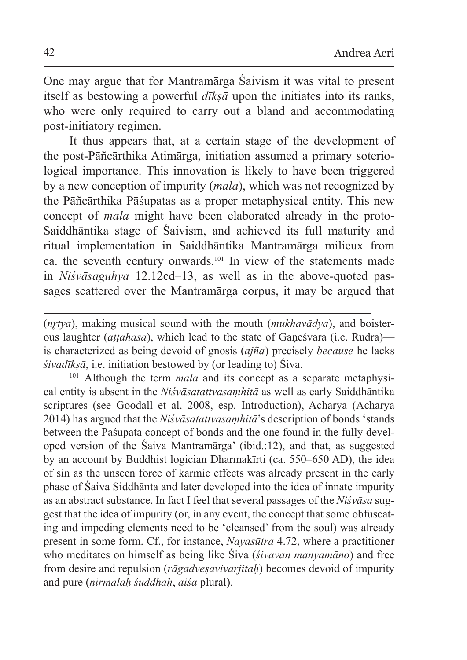One may argue that for Mantramārga Śaivism it was vital to present itself as bestowing a powerful *dīkṣā* upon the initiates into its ranks, who were only required to carry out a bland and accommodating post-initiatory regimen.

It thus appears that, at a certain stage of the development of the post-Pāñcārthika Atimārga, initiation assumed a primary soteriological importance. This innovation is likely to have been triggered by a new conception of impurity (*mala*), which was not recognized by the Pāñcārthika Pāśupatas as a proper metaphysical entity. This new concept of *mala* might have been elaborated already in the proto-Saiddhāntika stage of Śaivism, and achieved its full maturity and ritual implementation in Saiddhāntika Mantramārga milieux from ca. the seventh century onwards.101 In view of the statements made in *Niśvāsaguhya* 12.12cd–13, as well as in the above-quoted passages scattered over the Mantramārga corpus, it may be argued that

(*nr̥tya*), making musical sound with the mouth (*mukhavādya*), and boisterous laughter (*aṭṭahāsa*), which lead to the state of Gaṇeśvara (i.e. Rudra) is characterized as being devoid of gnosis (*ajña*) precisely *because* he lacks *śivadīkṣā*, i.e. initiation bestowed by (or leading to) Śiva.

<sup>101</sup> Although the term *mala* and its concept as a separate metaphysical entity is absent in the *Niśvāsatattvasaṃhitā* as well as early Saiddhāntika scriptures (see Goodall et al. 2008, esp. Introduction), Acharya (Acharya 2014) has argued that the *Niśvāsatattvasaṃhitā*'s description of bonds 'stands between the Pāśupata concept of bonds and the one found in the fully developed version of the Śaiva Mantramārga' (ibid.:12), and that, as suggested by an account by Buddhist logician Dharmakīrti (ca. 550–650 AD), the idea of sin as the unseen force of karmic effects was already present in the early phase of Śaiva Siddhānta and later developed into the idea of innate impurity as an abstract substance. In fact I feel that several passages of the *Niśvāsa* suggest that the idea of impurity (or, in any event, the concept that some obfuscating and impeding elements need to be 'cleansed' from the soul) was already present in some form. Cf., for instance, *Nayasūtra* 4.72, where a practitioner who meditates on himself as being like Śiva (*śivavan manyamāno*) and free from desire and repulsion (*rāgadveṣavivarjitaḥ*) becomes devoid of impurity and pure (*nirmalāḥ śuddhāḥ*, *aiśa* plural).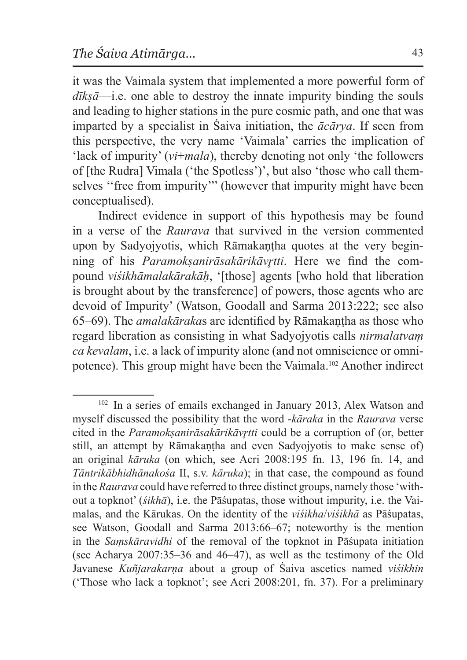it was the Vaimala system that implemented a more powerful form of *dīkṣā*—i.e. one able to destroy the innate impurity binding the souls and leading to higher stations in the pure cosmic path, and one that was imparted by a specialist in Śaiva initiation, the *ācārya*. If seen from this perspective, the very name 'Vaimala' carries the implication of 'lack of impurity' (*vi*+*mala*), thereby denoting not only 'the followers of [the Rudra] Vimala ('the Spotless')', but also 'those who call themselves "free from impurity"' (however that impurity might have been conceptualised).

Indirect evidence in support of this hypothesis may be found in a verse of the *Raurava* that survived in the version commented upon by Sadyojyotis, which Rāmakantha quotes at the very beginning of his *Paramokṣanirāsakārikāvr̥tti*. Here we find the compound *viśikhāmalakārakāḥ*, '[those] agents [who hold that liberation is brought about by the transference] of powers, those agents who are devoid of Impurity' (Watson, Goodall and Sarma 2013:222; see also 65–69). The *amalakāraka*s are identified by Rāmakaṇṭha as those who regard liberation as consisting in what Sadyojyotis calls *nirmalatvaṃ ca kevalam*, i.e. a lack of impurity alone (and not omniscience or omnipotence). This group might have been the Vaimala.102 Another indirect

<sup>102</sup> In a series of emails exchanged in January 2013, Alex Watson and myself discussed the possibility that the word -*kāraka* in the *Raurava* verse cited in the *Paramokṣanirāsakārikāvr̥tti* could be a corruption of (or, better still, an attempt by Rāmakantha and even Sadyojyotis to make sense of) an original *kāruka* (on which, see Acri 2008:195 fn. 13, 196 fn. 14, and *Tāntrikābhidhānakośa* II, s.v. *kāruka*); in that case, the compound as found in the *Raurava* could have referred to three distinct groups, namely those 'without a topknot' (*śikhā*), i.e. the Pāśupatas, those without impurity, i.e. the Vaimalas, and the Kārukas. On the identity of the *viśikha*/*viśikhā* as Pāśupatas, see Watson, Goodall and Sarma 2013:66–67; noteworthy is the mention in the *Saṃskāravidhi* of the removal of the topknot in Pāśupata initiation (see Acharya 2007:35–36 and 46–47), as well as the testimony of the Old Javanese *Kuñjarakarṇa* about a group of Śaiva ascetics named *viśikhin* ('Those who lack a topknot'; see Acri 2008:201, fn. 37). For a preliminary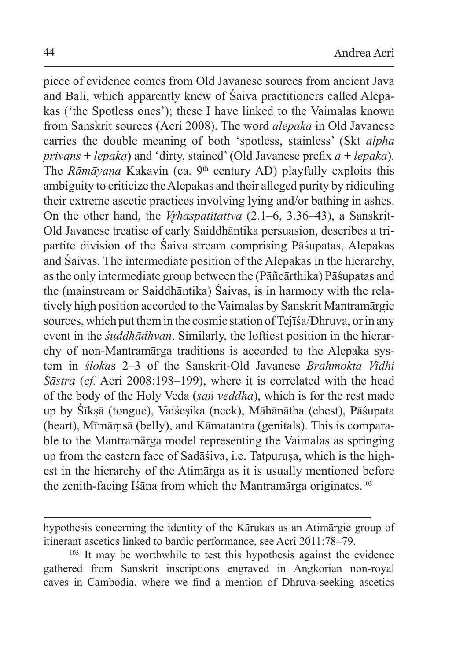piece of evidence comes from Old Javanese sources from ancient Java and Bali, which apparently knew of Śaiva practitioners called Alepakas ('the Spotless ones'); these I have linked to the Vaimalas known from Sanskrit sources (Acri 2008). The word *alepaka* in Old Javanese carries the double meaning of both 'spotless, stainless' (Skt *alpha privans* + *lepaka*) and 'dirty, stained' (Old Javanese prefix *a* + *lepaka*). The *Rāmāyana* Kakavin (ca. 9<sup>th</sup> century AD) playfully exploits this ambiguity to criticize theAlepakas and their alleged purity by ridiculing their extreme ascetic practices involving lying and/or bathing in ashes. On the other hand, the *Vr̥haspatitattva* (2.1–6, 3.36–43), a Sanskrit-Old Javanese treatise of early Saiddhāntika persuasion, describes a tripartite division of the Śaiva stream comprising Pāśupatas, Alepakas and Śaivas. The intermediate position of the Alepakas in the hierarchy, asthe only intermediate group between the (Pāñcārthika) Pāśupatas and the (mainstream or Saiddhāntika) Śaivas, is in harmony with the relatively high position accorded to the Vaimalas by Sanskrit Mantramārgic sources, which put them in the cosmic station of Tejīśa/Dhruva, or in any event in the *śuddhādhvan*. Similarly, the loftiest position in the hierarchy of non-Mantramārga traditions is accorded to the Alepaka system in *śloka*s 2–3 of the Sanskrit-Old Javanese *Brahmokta Vidhi Śāstra* (*cf.* Acri 2008:198–199), where it is correlated with the head of the body of the Holy Veda (*saṅ veddha*), which is for the rest made up by Śīkṣā (tongue), Vaiśeṣika (neck), Māhānātha (chest), Pāśupata (heart), Mīmāṃsā (belly), and Kāmatantra (genitals). This is comparable to the Mantramārga model representing the Vaimalas as springing up from the eastern face of Sadāśiva, i.e. Tatpurusa, which is the highest in the hierarchy of the Atimārga as it is usually mentioned before the zenith-facing Īśāna from which the Mantramārga originates.<sup>103</sup>

hypothesis concerning the identity of the Kārukas as an Atimārgic group of itinerant ascetics linked to bardic performance, see Acri 2011:78–79.

<sup>&</sup>lt;sup>103</sup> It may be worthwhile to test this hypothesis against the evidence gathered from Sanskrit inscriptions engraved in Angkorian non-royal caves in Cambodia, where we find a mention of Dhruva-seeking ascetics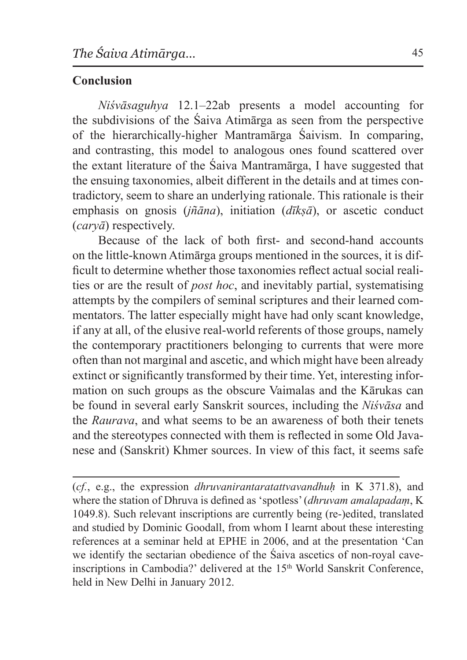# **Conclusion**

*Niśvāsaguhya* 12.1–22ab presents a model accounting for the subdivisions of the Śaiva Atimārga as seen from the perspective of the hierarchically-higher Mantramārga Śaivism. In comparing, and contrasting, this model to analogous ones found scattered over the extant literature of the Śaiva Mantramārga, I have suggested that the ensuing taxonomies, albeit different in the details and at times contradictory, seem to share an underlying rationale. This rationale is their emphasis on gnosis (*jñāna*), initiation (*dīkṣā*), or ascetic conduct (*caryā*) respectively.

Because of the lack of both first- and second-hand accounts on the little-known Atimārga groups mentioned in the sources, it is difficult to determine whether those taxonomies reflect actual social realities or are the result of *post hoc*, and inevitably partial, systematising attempts by the compilers of seminal scriptures and their learned commentators. The latter especially might have had only scant knowledge, if any at all, of the elusive real-world referents of those groups, namely the contemporary practitioners belonging to currents that were more often than not marginal and ascetic, and which might have been already extinct or significantly transformed by their time. Yet, interesting information on such groups as the obscure Vaimalas and the Kārukas can be found in several early Sanskrit sources, including the *Niśvāsa* and the *Raurava*, and what seems to be an awareness of both their tenets and the stereotypes connected with them is reflected in some Old Javanese and (Sanskrit) Khmer sources. In view of this fact, it seems safe

(*cf.*, e.g., the expression *dhruvanirantaratattvavandhuḥ* in K 371.8), and where the station of Dhruva is defined as 'spotless' (*dhruvam amalapadaṃ*, K 1049.8). Such relevant inscriptions are currently being (re-)edited, translated and studied by Dominic Goodall, from whom I learnt about these interesting references at a seminar held at EPHE in 2006, and at the presentation 'Can we identify the sectarian obedience of the Śaiva ascetics of non-royal caveinscriptions in Cambodia?' delivered at the 15<sup>th</sup> World Sanskrit Conference, held in New Delhi in January 2012.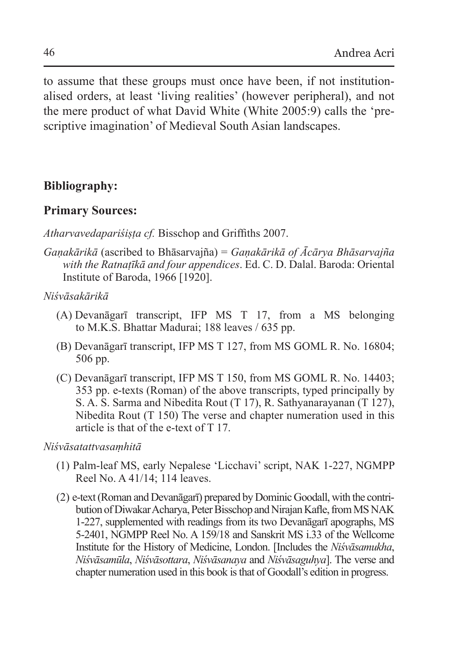to assume that these groups must once have been, if not institutionalised orders, at least 'living realities' (however peripheral), and not the mere product of what David White (White 2005:9) calls the 'prescriptive imagination' of Medieval South Asian landscapes.

### **Bibliography:**

### **Primary Sources:**

*Atharvavedapariśiṣṭa cf.* Bisschop and Griffiths 2007.

*Gaṇakārikā* (ascribed to Bhāsarvajña) = *Gaṇakārikā of Ācārya Bhāsarvajña with the Ratnaṭīkā and four appendices*. Ed. C. D. Dalal. Baroda: Oriental Institute of Baroda, 1966 [1920].

*Niśvāsakārikā*

- (A)  Devanāgarī transcript, IFP MS T 17, from a MS belonging to M.K.S. Bhattar Madurai; 188 leaves / 635 pp.
- (B) Devanāgarī transcript, IFP MS T 127, from MS GOML R. No. 16804; 506 pp.
- (C) Devanāgarī transcript, IFP MS T 150, from MS GOML R. No. 14403; 353 pp. e-texts (Roman) of the above transcripts, typed principally by S. A. S. Sarma and Nibedita Rout (T 17), R. Sathyanarayanan (T 127), Nibedita Rout (T 150) The verse and chapter numeration used in this article is that of the e-text of T 17.

*Niśvāsatattvasaṃhitā* 

- (1) Palm-leaf MS, early Nepalese 'Licchavi' script, NAK 1-227, NGMPP Reel No. A 41/14; 114 leaves.
- (2) e-text (Roman and Devanāgarī) prepared by Dominic Goodall, with the contribution of Diwakar Acharya, Peter Bisschop and Nirajan Kafle, from MS NAK 1-227, supplemented with readings from its two Devanāgarī apographs, MS 5-2401, NGMPP Reel No. A 159/18 and Sanskrit MS i.33 of the Wellcome Institute for the History of Medicine, London. [Includes the *Niśvāsamukha*, *Niśvāsamūla*, *Niśvāsottara*, *Niśvāsanaya* and *Niśvāsaguhya*]. The verse and chapter numeration used in this book is that of Goodall's edition in progress.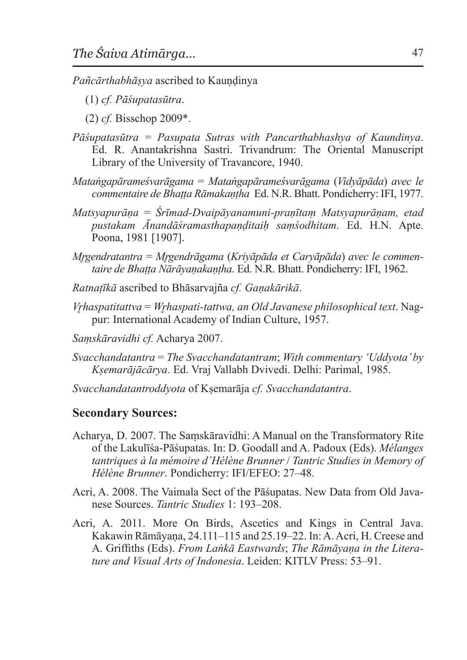*Pañcārthabhāṣya* ascribed to Kauṇḍinya

- (1) *cf. Pāśupatasūtra*.
- (2) *cf.* Bisschop 2009\*.
- *Pāśupatasūtra = Pasupata Sutras with Pancarthabhashya of Kaundinya*. Ed. R. Anantakrishna Sastri. Trivandrum: The Oriental Manuscript Library of the University of Travancore, 1940.
- *Mataṅgapārameśvarāgama* = *Mataṅgapārameśvarāgama* (*Vidyāpāda*) *avec le commentaire de Bhaṭṭa Rāmakaṇṭha* Ed. N.R. Bhatt. Pondicherry: IFI, 1977.
- *Matsyapurāṇa* = *Śrīmad-Dvaipāyanamuni-praṇītaṃ Matsyapurāṇam, etad pustakam Ānandāśramasthapaṇḍitaiḥ saṃśodhitam*. Ed. H.N. Apte. Poona, 1981 [1907].
- *Mr̥gendratantra* = *Mr̥gendrāgama* (*Kriyāpāda et Caryāpāda*) *avec le commentaire de Bhaṭṭa Nārāyaṇakaṇṭha*. Ed. N.R. Bhatt. Pondicherry: IFI, 1962.
- *Ratnaṭīkā* ascribed to Bhāsarvajña *cf. Gaṇakārikā*.
- *Vr̥haspatitattva* = *Wr̥haspati-tattwa, an Old Javanese philosophical text*. Nagpur: International Academy of Indian Culture, 1957.
- *Saṃskāravidhi cf.* Acharya 2007.
- *Svacchandatantra* = *The Svacchandatantram*; *With commentary 'Uddyota' by Kṣemarājācārya*. Ed. Vraj Vallabh Dvivedi. Delhi: Parimal, 1985.
- *Svacchandatantroddyota* of Kṣemarāja *cf. Svacchandatantra*.

#### **Secondary Sources:**

- Acharya, D. 2007. The Saṃskāravidhi: A Manual on the Transformatory Rite of the Lakulīśa-Pāśupatas. In: D. Goodall and A. Padoux (Eds). *Mélanges tantriques à la mémoire d'Hélène Brunner* / *Tantric Studies in Memory of Hélène Brunner*. Pondicherry: IFI/EFEO: 27–48.
- Acri, A. 2008. The Vaimala Sect of the Pāśupatas. New Data from Old Javanese Sources. *Tantric Studies* 1: 193–208.
- Acri, A. 2011. More On Birds, Ascetics and Kings in Central Java. Kakawin Rāmāyaṇa, 24.111–115 and 25.19–22. In:A.Acri, H. Creese and A. Griffiths (Eds). *From Laṅkā Eastwards*; *The Rāmāyaṇa in the Literature and Visual Arts of Indonesia*. Leiden: KITLV Press: 53–91.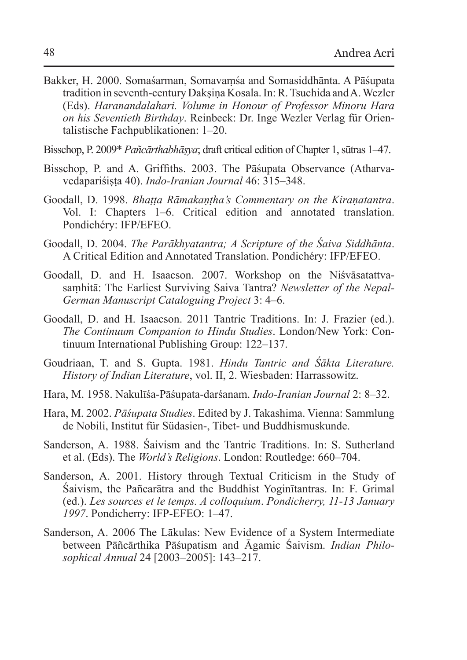- Bakker, H. 2000. Somaśarman, Somavaṃśa and Somasiddhānta. A Pāśupata tradition in seventh-century Dakṣiṇa Kosala. In:R.Tsuchida and A.Wezler (Eds). *Haranandalahari. Volume in Honour of Professor Minoru Hara on his Seventieth Birthday*. Reinbeck: Dr. Inge Wezler Verlag für Orientalistische Fachpublikationen: 1–20.
- Bisschop, P. 2009\* *Pañcārthabhāṣya*; draft critical edition of Chapter 1, sūtras 1–47.
- Bisschop, P. and A. Griffiths. 2003. The Pāśupata Observance (Atharvavedapariśiṣṭa 40). *Indo-Iranian Journal* 46: 315–348.
- Goodall, D. 1998. *Bhaṭṭa Rāmakaṇṭha's Commentary on the Kiraṇatantra*. Vol. I: Chapters 1–6. Critical edition and annotated translation. Pondichéry: IFP/EFEO.
- Goodall, D. 2004. *The Parākhyatantra; A Scripture of the Śaiva Siddhānta*. A Critical Edition and Annotated Translation. Pondichéry: IFP/EFEO.
- Goodall, D. and H. Isaacson. 2007. Workshop on the Niśvāsatattvasaṃhitā: The Earliest Surviving Saiva Tantra? *Newsletter of the Nepal-German Manuscript Cataloguing Project* 3: 4–6.
- Goodall, D. and H. Isaacson. 2011 Tantric Traditions. In: J. Frazier (ed.). *The Continuum Companion to Hindu Studies*. London/New York: Continuum International Publishing Group: 122–137.
- Goudriaan, T. and S. Gupta. 1981. *Hindu Tantric and Śākta Literature. History of Indian Literature*, vol. II, 2. Wiesbaden: Harrassowitz.
- Hara, M. 1958. Nakulīśa-Pāśupata-darśanam. *Indo-Iranian Journal* 2: 8–32.
- Hara, M. 2002. *Pāśupata Studies*. Edited by J. Takashima. Vienna: Sammlung de Nobili, Institut für Südasien-, Tibet- und Buddhismuskunde.
- Sanderson, A. 1988. Śaivism and the Tantric Traditions. In: S. Sutherland et al. (Eds). The *World's Religions*. London: Routledge: 660–704.
- Sanderson, A. 2001. History through Textual Criticism in the Study of Śaivism, the Pañcarātra and the Buddhist Yoginītantras. In: F. Grimal (ed.). *Les sources et le temps. A colloquium*. *Pondicherry, 11-13 January 1997*. Pondicherry: IFP-EFEO: 1–47.
- Sanderson, A. 2006 The Lākulas: New Evidence of a System Intermediate between Pāñcārthika Pāśupatism and Āgamic Śaivism. *Indian Philosophical Annual* 24 [2003–2005]: 143–217.